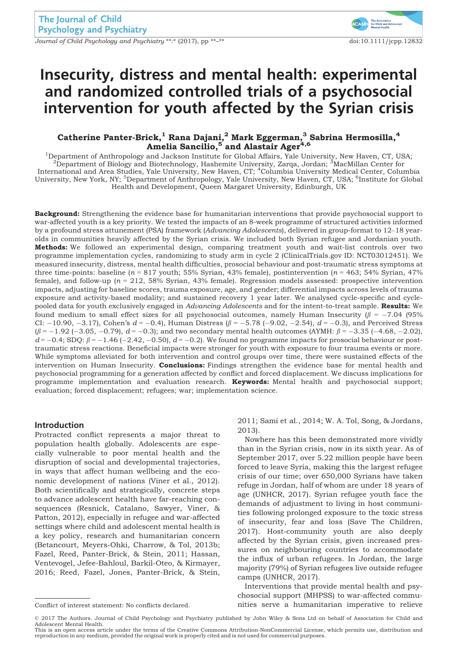Journal of Child Psychology and Psychiatry \*\*:\* (2017), pp \*\*–\*\* doi:10.1111/jcpp.12832



# Insecurity, distress and mental health: experimental and randomized controlled trials of a psychosocial intervention for youth affected by the Syrian crisis

## Catherine Panter-Brick, $^1$  Rana Dajani, $^2$  Mark Eggerman, $^3$  Sabrina Hermosilla, $^4$ Amelia Sancilio,<sup>5</sup> and Alastair Ager<sup>4,6</sup>

<sup>1</sup>Department of Anthropology and Jackson Institute for Global Affairs, Yale University, New Haven, CT, USA;  $^{2}$ Department of Biology and Biotechnology, Hashemite University, Zarga, Jordan; <sup>3</sup>MacMillan Center for Department of Biology and Biotechnology, Hashemite University, Zarqa, Jordan; <sup>3</sup>MacMillan Center for International and Area Studies, Yale University, New Haven, CT; <sup>4</sup> Columbia University Medical Center, Columbia University, New York, NY; <sup>5</sup>Department of Anthropology, Yale University, New Haven, CT, USA; <sup>6</sup>Institute for Global Health and Development, Queen Margaret University, Edinburgh, UK

Background: Strengthening the evidence base for humanitarian interventions that provide psychosocial support to war-affected youth is a key priority. We tested the impacts of an 8-week programme of structured activities informed by a profound stress attunement (PSA) framework (Advancing Adolescents), delivered in group-format to 12–18 yearolds in communities heavily affected by the Syrian crisis. We included both Syrian refugee and Jordanian youth. Methods: We followed an experimental design, comparing treatment youth and wait-list controls over two programme implementation cycles, randomizing to study arm in cycle 2 (ClinicalTrials.gov ID: NCT03012451). We measured insecurity, distress, mental health difficulties, prosocial behaviour and post-traumatic stress symptoms at three time-points: baseline ( $n = 817$  youth; 55% Syrian, 43% female), postintervention ( $n = 463$ ; 54% Syrian, 47% female), and follow-up ( $n = 212$ , 58% Syrian, 43% female). Regression models assessed: prospective intervention impacts, adjusting for baseline scores, trauma exposure, age, and gender; differential impacts across levels of trauma exposure and activity-based modality; and sustained recovery 1 year later. We analysed cycle-specific and cyclepooled data for youth exclusively engaged in Advancing Adolescents and for the intent-to-treat sample. Results: We found medium to small effect sizes for all psychosocial outcomes, namely Human Insecurity ( $\beta$  = -7.04 (95%) CI:  $-10.90, -3.17$ ), Cohen's  $d = -0.4$ ), Human Distress  $(\beta = -5.78 \ (-9.02, -2.54), d = -0.3)$ , and Perceived Stress  $(\beta = -1.92$  (-3.05, -0.79),  $d = -0.3$ ); and two secondary mental health outcomes (AYMH:  $\beta = -3.35$  (-4.68, -2.02),  $d = -0.4$ ; SDQ:  $\beta = -1.46$  (-2.42, -0.50),  $d = -0.2$ ). We found no programme impacts for prosocial behaviour or posttraumatic stress reactions. Beneficial impacts were stronger for youth with exposure to four trauma events or more. While symptoms alleviated for both intervention and control groups over time, there were sustained effects of the intervention on Human Insecurity. **Conclusions:** Findings strengthen the evidence base for mental health and psychosocial programming for a generation affected by conflict and forced displacement. We discuss implications for programme implementation and evaluation research. **Keywords:** Mental health and psychosocial support; evaluation; forced displacement; refugees; war; implementation science.

## Introduction

Protracted conflict represents a major threat to population health globally. Adolescents are especially vulnerable to poor mental health and the disruption of social and developmental trajectories, in ways that affect human wellbeing and the economic development of nations (Viner et al., 2012). Both scientifically and strategically, concrete steps to advance adolescent health have far-reaching consequences (Resnick, Catalano, Sawyer, Viner, & Patton, 2012), especially in refugee and war-affected settings where child and adolescent mental health is a key policy, research and humanitarian concern (Betancourt, Meyers-Ohki, Charrow, & Tol, 2013b; Fazel, Reed, Panter-Brick, & Stein, 2011; Hassan, Ventevogel, Jefee-Bahloul, Barkil-Oteo, & Kirmayer, 2016; Reed, Fazel, Jones, Panter-Brick, & Stein,

2011; Sami et al., 2014; W. A. Tol, Song, & Jordans, 2013).

Nowhere has this been demonstrated more vividly than in the Syrian crisis, now in its sixth year. As of September 2017, over 5.22 million people have been forced to leave Syria, making this the largest refugee crisis of our time; over 650,000 Syrians have taken refuge in Jordan, half of whom are under 18 years of age (UNHCR, 2017). Syrian refugee youth face the demands of adjustment to living in host communities following prolonged exposure to the toxic stress of insecurity, fear and loss (Save The Children, 2017). Host-community youth are also deeply affected by the Syrian crisis, given increased pressures on neighbouring countries to accommodate the influx of urban refugees. In Jordan, the large majority (79%) of Syrian refugees live outside refugee camps (UNHCR, 2017).

Interventions that provide mental health and psychosocial support (MHPSS) to war-affected commu-Conflict of interest statement: No conflicts declared. The nities serve a humanitarian imperative to relieve

© 2017 The Authors. Journal of Child Psychology and Psychiatry published by John Wiley & Sons Ltd on behalf of Association for Child and Adolescent Mental Health.

This is an open access article under the terms of the [Creative Commons Attribution-NonCommercial](http://creativecommons.org/licenses/by-nc/4.0/) License, which permits use, distribution and reproduction in any medium, provided the original work is properly cited and is not used for commercial purposes.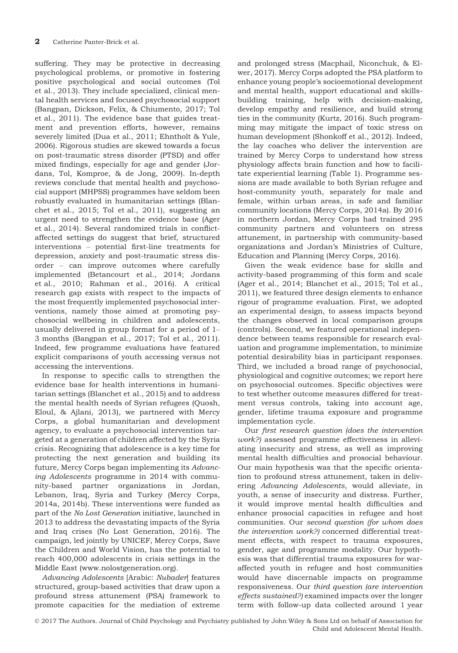suffering. They may be protective in decreasing psychological problems, or promotive in fostering positive psychological and social outcomes (Tol et al., 2013). They include specialized, clinical mental health services and focused psychosocial support (Bangpan, Dickson, Felix, & Chiumento, 2017; Tol et al., 2011). The evidence base that guides treatment and prevention efforts, however, remains severely limited (Dua et al., 2011; Ehntholt & Yule, 2006). Rigorous studies are skewed towards a focus on post-traumatic stress disorder (PTSD) and offer mixed findings, especially for age and gender (Jordans, Tol, Komproe, & de Jong, 2009). In-depth reviews conclude that mental health and psychosocial support (MHPSS) programmes have seldom been robustly evaluated in humanitarian settings (Blanchet et al., 2015; Tol et al., 2011), suggesting an urgent need to strengthen the evidence base (Ager et al., 2014). Several randomized trials in conflictaffected settings do suggest that brief, structured interventions – potential first-line treatments for depression, anxiety and post-traumatic stress disorder – can improve outcomes where carefully implemented (Betancourt et al., 2014; Jordans et al., 2010; Rahman et al., 2016). A critical research gap exists with respect to the impacts of the most frequently implemented psychosocial interventions, namely those aimed at promoting psychosocial wellbeing in children and adolescents, usually delivered in group format for a period of 1– 3 months (Bangpan et al., 2017; Tol et al., 2011). Indeed, few programme evaluations have featured explicit comparisons of youth accessing versus not accessing the interventions.

In response to specific calls to strengthen the evidence base for health interventions in humanitarian settings (Blanchet et al., 2015) and to address the mental health needs of Syrian refugees (Quosh, Eloul, & Ajlani, 2013), we partnered with Mercy Corps, a global humanitarian and development agency, to evaluate a psychosocial intervention targeted at a generation of children affected by the Syria crisis. Recognizing that adolescence is a key time for protecting the next generation and building its future, Mercy Corps began implementing its Advancing Adolescents programme in 2014 with community-based partner organizations in Jordan, Lebanon, Iraq, Syria and Turkey (Mercy Corps, 2014a, 2014b). These interventions were funded as part of the No Lost Generation initiative, launched in 2013 to address the devastating impacts of the Syria and Iraq crises (No Lost Generation, 2016). The campaign, led jointly by UNICEF, Mercy Corps, Save the Children and World Vision, has the potential to reach 400,000 adolescents in crisis settings in the Middle East [\(www.nolostgeneration.org](http://www.nolostgeneration.org)).

Advancing Adolescents [Arabic: Nubader] features structured, group-based activities that draw upon a profound stress attunement (PSA) framework to promote capacities for the mediation of extreme

and prolonged stress (Macphail, Niconchuk, & Elwer, 2017). Mercy Corps adopted the PSA platform to enhance young people's socioemotional development and mental health, support educational and skillsbuilding training, help with decision-making, develop empathy and resilience, and build strong ties in the community (Kurtz, 2016). Such programming may mitigate the impact of toxic stress on human development (Shonkoff et al., 2012). Indeed, the lay coaches who deliver the intervention are trained by Mercy Corps to understand how stress physiology affects brain function and how to facilitate experiential learning (Table 1). Programme sessions are made available to both Syrian refugee and host-community youth, separately for male and female, within urban areas, in safe and familiar community locations (Mercy Corps, 2014a). By 2016 in northern Jordan, Mercy Corps had trained 295 community partners and volunteers on stress attunement, in partnership with community-based organizations and Jordan's Ministries of Culture, Education and Planning (Mercy Corps, 2016).

Given the weak evidence base for skills and activity-based programming of this form and scale (Ager et al., 2014; Blanchet et al., 2015; Tol et al., 2011), we featured three design elements to enhance rigour of programme evaluation. First, we adopted an experimental design, to assess impacts beyond the changes observed in local comparison groups (controls). Second, we featured operational independence between teams responsible for research evaluation and programme implementation, to minimize potential desirability bias in participant responses. Third, we included a broad range of psychosocial, physiological and cognitive outcomes; we report here on psychosocial outcomes. Specific objectives were to test whether outcome measures differed for treatment versus controls, taking into account age, gender, lifetime trauma exposure and programme implementation cycle.

Our first research question (does the intervention work?) assessed programme effectiveness in alleviating insecurity and stress, as well as improving mental health difficulties and prosocial behaviour. Our main hypothesis was that the specific orientation to profound stress attunement, taken in delivering Advancing Adolescents, would alleviate, in youth, a sense of insecurity and distress. Further, it would improve mental health difficulties and enhance prosocial capacities in refugee and host communities. Our second question (for whom does the intervention work?) concerned differential treatment effects, with respect to trauma exposures, gender, age and programme modality. Our hypothesis was that differential trauma exposures for waraffected youth in refugee and host communities would have discernable impacts on programme responsiveness. Our third question (are intervention effects sustained?) examined impacts over the longer term with follow-up data collected around 1 year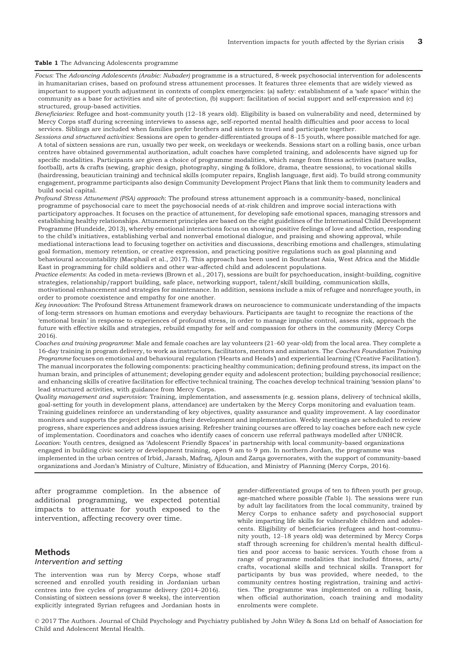#### Table 1 The Advancing Adolescents programme

- Focus: The Advancing Adolescents (Arabic: Nubader) programme is a structured, 8-week psychosocial intervention for adolescents in humanitarian crises, based on profound stress attunement processes. It features three elements that are widely viewed as important to support youth adjustment in contexts of complex emergencies: (a) safety: establishment of a 'safe space' within the community as a base for activities and site of protection, (b) support: facilitation of social support and self-expression and (c) structured, group-based activities.
- Beneficiaries: Refugee and host-community youth (12–18 years old). Eligibility is based on vulnerability and need, determined by Mercy Corps staff during screening interviews to assess age, self-reported mental health difficulties and poor access to local services. Siblings are included when families prefer brothers and sisters to travel and participate together.
- Sessions and structured activities: Sessions are open to gender-differentiated groups of 8–15 youth, where possible matched for age. A total of sixteen sessions are run, usually two per week, on weekdays or weekends. Sessions start on a rolling basis, once urban centres have obtained governmental authorization, adult coaches have completed training, and adolescents have signed up for specific modalities. Participants are given a choice of programme modalities, which range from fitness activities (nature walks, football), arts & crafts (sewing, graphic design, photography, singing & folklore, drama, theatre sessions), to vocational skills (hairdressing, beautician training) and technical skills (computer repairs, English language, first aid). To build strong community engagement, programme participants also design Community Development Project Plans that link them to community leaders and build social capital.
- Profound Stress Attunement (PSA) approach: The profound stress attunement approach is a community-based, nonclinical programme of psychosocial care to meet the psychosocial needs of at-risk children and improve social interactions with participatory approaches. It focuses on the practice of attunement, for developing safe emotional spaces, managing stressors and establishing healthy relationships. Attunement principles are based on the eight guidelines of the International Child Development Programme (Hundeide, 2013), whereby emotional interactions focus on showing positive feelings of love and affection, responding to the child's initiatives, establishing verbal and nonverbal emotional dialogue, and praising and showing approval, while mediational interactions lead to focusing together on activities and discussions, describing emotions and challenges, stimulating goal formation, memory retention, or creative expression, and practicing positive regulations such as goal planning and behavioural accountability (Macphail et al., 2017). This approach has been used in Southeast Asia, West Africa and the Middle East in programming for child soldiers and other war-affected child and adolescent populations.
- Practice elements: As coded in meta-reviews (Brown et al., 2017), sessions are built for psychoeducation, insight-building, cognitive strategies, relationship/rapport building, safe place, networking support, talent/skill building, communication skills, motivational enhancement and strategies for maintenance. In addition, sessions include a mix of refugee and nonrefugee youth, in order to promote coexistence and empathy for one another.
- Key innovation: The Profound Stress Attunement framework draws on neuroscience to communicate understanding of the impacts of long-term stressors on human emotions and everyday behaviours. Participants are taught to recognize the reactions of the 'emotional brain' in response to experiences of profound stress, in order to manage impulse control, assess risk, approach the future with effective skills and strategies, rebuild empathy for self and compassion for others in the community (Mercy Corps 2016).
- Coaches and training programme: Male and female coaches are lay volunteers (21–60 year-old) from the local area. They complete a 16-day training in program delivery, to work as instructors, facilitators, mentors and animators. The Coaches Foundation Training Programme focuses on emotional and behavioural regulation ('Hearts and Heads') and experiential learning ('Creative Facilitation'). The manual incorporates the following components: practicing healthy communication; defining profound stress, its impact on the human brain, and principles of attunement; developing gender equity and adolescent protection; building psychosocial resilience; and enhancing skills of creative facilitation for effective technical training. The coaches develop technical training 'session plans' to lead structured activities, with guidance from Mercy Corps.
- Quality management and supervision: Training, implementation, and assessments (e.g. session plans, delivery of technical skills, goal-setting for youth in development plans, attendance) are undertaken by the Mercy Corps monitoring and evaluation team. Training guidelines reinforce an understanding of key objectives, quality assurance and quality improvement. A lay coordinator monitors and supports the project plans during their development and implementation. Weekly meetings are scheduled to review progress, share experiences and address issues arising. Refresher training courses are offered to lay coaches before each new cycle of implementation. Coordinators and coaches who identify cases of concern use referral pathways modelled after UNHCR.

Location: Youth centres, designed as 'Adolescent Friendly Spaces' in partnership with local community-based organizations engaged in building civic society or development training, open 9 am to 9 pm. In northern Jordan, the programme was implemented in the urban centres of Irbid, Jarash, Mafraq, Ajloun and Zarqa governorates, with the support of community-based organizations and Jordan's Ministry of Culture, Ministry of Education, and Ministry of Planning (Mercy Corps, 2016).

after programme completion. In the absence of additional programming, we expected potential impacts to attenuate for youth exposed to the intervention, affecting recovery over time.

## Methods

## Intervention and setting

The intervention was run by Mercy Corps, whose staff screened and enrolled youth residing in Jordanian urban centres into five cycles of programme delivery (2014–2016). Consisting of sixteen sessions (over 8 weeks), the intervention explicitly integrated Syrian refugees and Jordanian hosts in

gender-differentiated groups of ten to fifteen youth per group, age-matched where possible (Table 1). The sessions were run by adult lay facilitators from the local community, trained by Mercy Corps to enhance safety and psychosocial support while imparting life skills for vulnerable children and adolescents. Eligibility of beneficiaries (refugees and host-community youth, 12–18 years old) was determined by Mercy Corps staff through screening for children's mental health difficulties and poor access to basic services. Youth chose from a range of programme modalities that included fitness, arts/ crafts, vocational skills and technical skills. Transport for participants by bus was provided, where needed, to the community centres hosting registration, training and activities. The programme was implemented on a rolling basis, when official authorization, coach training and modality enrolments were complete.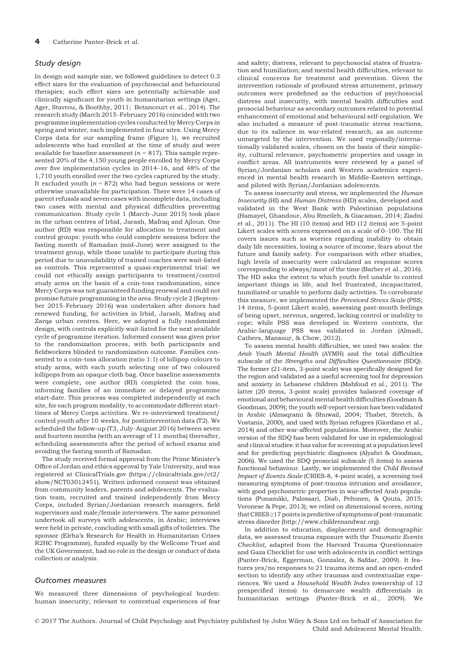#### Study design

In design and sample size, we followed guidelines to detect 0.3 effect sizes for the evaluation of psychosocial and behavioural therapies; such effect sizes are potentially achievable and clinically significant for youth in humanitarian settings (Ager, Ager, Stavrou, & Boothby, 2011; Betancourt et al., 2014). The research study (March 2015–February 2016) coincided with two programme implementation cycles conducted by Mercy Corps in spring and winter, each implemented in four sites. Using Mercy Corps data for our sampling frame (Figure 1), we recruited adolescents who had enrolled at the time of study and were available for baseline assessment ( $n = 817$ ). This sample represented 20% of the 4,150 young people enrolled by Mercy Corps over five implementation cycles in 2014–16, and 48% of the 1,710 youth enrolled over the two cycles captured by the study. It excluded youth  $(n = 872)$  who had begun sessions or were otherwise unavailable for participation. There were 14 cases of parent refusals and seven cases with incomplete data, including two cases with mental and physical difficulties preventing communication. Study cycle 1 (March–June 2015) took place in the urban centres of Irbid, Jarash, Mafraq and Ajloun. One author (RD) was responsible for allocation to treatment and control groups: youth who could complete sessions before the fasting month of Ramadan (mid-June) were assigned to the treatment group, while those unable to participate during this period due to unavailability of trained coaches were wait-listed as controls. This represented a quasi-experimental trial: we could not ethically assign participants to treatment/control study arms on the basis of a coin-toss randomization, since Mercy Corps was not guaranteed funding renewal and could not promise future programming in the area. Study cycle 2 (September 2015–February 2016) was undertaken after donors had renewed funding, for activities in Irbid, Jarash, Mafraq and Zarqa urban centres. Here, we adopted a fully randomized design, with controls explicitly wait-listed for the next available cycle of programme iteration. Informed consent was given prior to the randomization process, with both participants and fieldworkers blinded to randomization outcome. Families consented to a coin-toss allocation (ratio 1:1) of lollipop colours to study arms, with each youth selecting one of two coloured lollipops from an opaque cloth bag. Once baseline assessments were complete, one author (RD) completed the coin toss, informing families of an immediate or delayed programme start-date. This process was completed independently at each site, for each program modality, to accommodate different starttimes of Mercy Corps activities. We re-interviewed treatment/ control youth after 10 weeks, for postintervention data (T2). We scheduled the follow-up (T3, July–August 2016) between seven and fourteen months (with an average of 11 months) thereafter, scheduling assessments after the period of school exams and avoiding the fasting month of Ramadan.

The study received formal approval from the Prime Minister's Office of Jordan and ethics approval by Yale University, and was registered at ClinicalTrials.gov [\(https://clinicaltrials.gov/ct2/](https://clinicaltrials.gov/ct2/show/NCT03012451) [show/NCT03012451](https://clinicaltrials.gov/ct2/show/NCT03012451)). Written informed consent was obtained from community leaders, parents and adolescents. The evaluation team, recruited and trained independently from Mercy Corps, included Syrian/Jordanian research managers, field supervisors and male/female interviewers. The same personnel undertook all surveys with adolescents, in Arabic; interviews were held in private, concluding with small gifts of toiletries. The sponsor (Elrha's Research for Health in Humanitarian Crises R2HC Programme), funded equally by the Wellcome Trust and the UK Government, had no role in the design or conduct of data collection or analysis.

#### Outcomes measures

We measured three dimensions of psychological burden: human insecurity, relevant to contextual experiences of fear

and safety; distress, relevant to psychosocial states of frustration and humiliation; and mental health difficulties, relevant to clinical concerns for treatment and prevention. Given the intervention rationale of profound stress attunement, primary outcomes were predefined as the reduction of psychosocial distress and insecurity, with mental health difficulties and prosocial behaviour as secondary outcomes related to potential enhancement of emotional and behavioural self-regulation. We also included a measure of post-traumatic stress reactions, due to its salience in war-related research, as an outcome untargeted by the intervention. We used regionally/internationally validated scales, chosen on the basis of their simplicity, cultural relevance, psychometric properties and usage in conflict areas. All instruments were reviewed by a panel of Syrian/Jordanian scholars and Western academics experienced in mental health research in Middle-Eastern settings, and piloted with Syrian/Jordanian adolescents.

To assess insecurity and stress, we implemented the Human Insecurity (HI) and Human Distress (HD) scales, developed and validated in the West Bank with Palestinian populations (Hamayel, Ghandour, Abu Rmeileh, & Giacaman, 2014; Ziadni et al., 2011). The HI (10 items) and HD (12 items) are 5-point Likert scales with scores expressed on a scale of 0–100. The HI covers issues such as worries regarding inability to obtain daily life necessities, losing a source of income, fears about the future and family safety. For comparison with other studies, high levels of insecurity were calculated as response scores corresponding to always/most of the time (Barber et al., 2016). The HD asks the extent to which youth feel unable to control important things in life, and feel frustrated, incapacitated, humiliated or unable to perform daily activities. To corroborate this measure, we implemented the Perceived Stress Scale (PSS; 14 items, 5-point Likert scale), assessing past-month feelings of being upset, nervous, angered, lacking control or inability to cope; while PSS was developed in Western contexts, the Arabic-language PSS was validated in Jordan (Almadi, Cathers, Mansour, & Chow, 2012).

To assess mental health difficulties, we used two scales: the Arab Youth Mental Health (AYMH) and the total difficulties subscale of the Strengths and Difficulties Questionnaire (SDQ). The former (21-item, 3-point scale) was specifically designed for the region and validated as a useful screening tool for depression and anxiety in Lebanese children (Mahfoud et al., 2011). The latter (20 items, 3-point scale) provides balanced coverage of emotional and behavioural mental health difficulties (Goodman & Goodman, 2009); the youth self-report version has been validated in Arabic (Almaqrami & Shuwail, 2004; Thabet, Stretch, & Vostanis, 2000), and used with Syrian refugees (Giordano et al., 2014) and other war-affected populations. Moreover, the Arabic version of the SDQ has been validated for use in epidemiological and clinical studies: it has value for screening at a population level and for predicting psychiatric diagnoses (Alyahri & Goodman, 2006). We used the SDQ prosocial subscale (5 items) to assess functional behaviour. Lastly, we implemented the Child Revised Impact of Events Scale (CRIES-8, 4-point scale), a screening tool measuring symptoms of post-trauma intrusion and avoidance, with good psychometric properties in war-affected Arab populations (Punamäki, Palosaari, Diab, Peltonen, & Qouta, 2015; Veronese & Pepe, 2013); we relied on dimensional scores, noting that CRIES≥17 points is predictive of symptoms of post-traumatic stress disorder ([http://www.childrenandwar.org\)](http://www.childrenandwar.org).

In addition to education, displacement and demographic data, we assessed trauma exposure with the Traumatic Events Checklist, adapted from the Harvard Trauma Questionnaire and Gaza Checklist for use with adolescents in conflict settings (Panter-Brick, Eggerman, Gonzalez, & Safdar, 2009). It features yes/no responses to 21 trauma items and an open-ended section to identify any other traumas and contextualize experiences. We used a Household Wealth Index (ownership of 12 prespecified items) to demarcate wealth differentials in humanitarian settings (Panter-Brick et al., 2009). We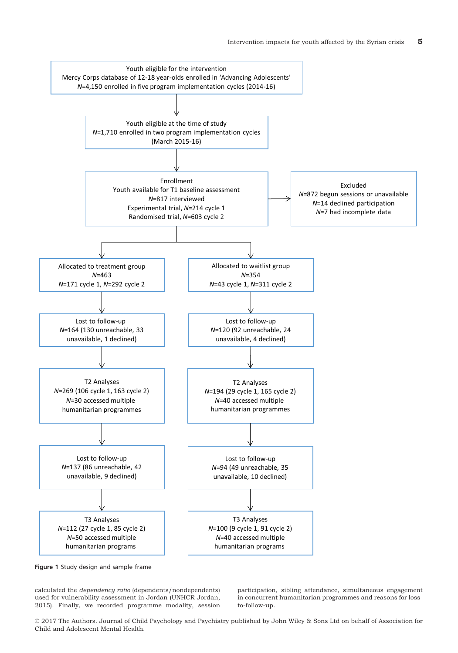



calculated the dependency ratio (dependents/nondependents) used for vulnerability assessment in Jordan (UNHCR Jordan, 2015). Finally, we recorded programme modality, session

participation, sibling attendance, simultaneous engagement in concurrent humanitarian programmes and reasons for lossto-follow-up.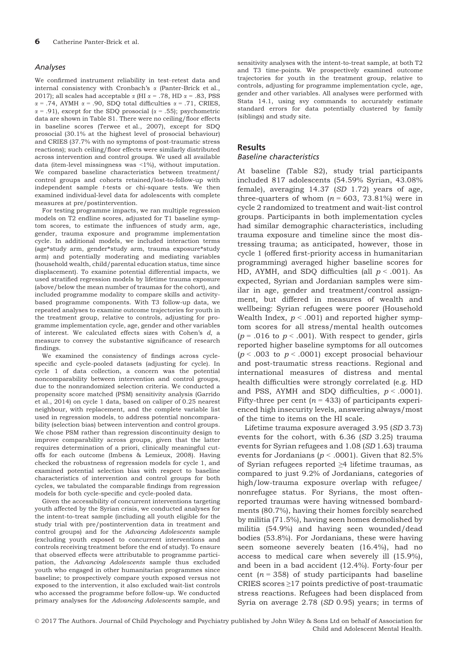## Analyses

We confirmed instrument reliability in test–retest data and internal consistency with Cronbach's  $\alpha$  (Panter-Brick et al., 2017); all scales had acceptable  $\alpha$  (HI  $\alpha$  = .78, HD  $\alpha$  = .83, PSS  $\alpha$  = .74, AYMH  $\alpha$  = .90, SDQ total difficulties  $\alpha$  = .71, CRIES,  $\alpha$  = .91), except for the SDQ prosocial ( $\alpha$  = .55); psychometric data are shown in Table S1. There were no ceiling/floor effects in baseline scores (Terwee et al., 2007), except for SDQ prosocial (30.1% at the highest level of prosocial behaviour) and CRIES (37.7% with no symptoms of post-traumatic stress reactions); such ceiling/floor effects were similarly distributed across intervention and control groups. We used all available data (item-level missingness was <1%), without imputation. We compared baseline characteristics between treatment/ control groups and cohorts retained/lost-to-follow-up with independent sample t-tests or chi-square tests. We then examined individual-level data for adolescents with complete measures at pre/postintervention.

For testing programme impacts, we ran multiple regression models on T2 endline scores, adjusted for T1 baseline symptom scores, to estimate the influences of study arm, age, gender, trauma exposure and programme implementation cycle. In additional models, we included interaction terms (age\*study arm, gender\*study arm, trauma exposure\*study arm) and potentially moderating and mediating variables (household wealth, child/parental education status, time since displacement). To examine potential differential impacts, we used stratified regression models by lifetime trauma exposure (above/below the mean number of traumas for the cohort), and included programme modality to compare skills and activitybased programme components. With T3 follow-up data, we repeated analyses to examine outcome trajectories for youth in the treatment group, relative to controls, adjusting for programme implementation cycle, age, gender and other variables of interest. We calculated effects sizes with Cohen's d, a measure to convey the substantive significance of research findings.

We examined the consistency of findings across cyclespecific and cycle-pooled datasets (adjusting for cycle). In cycle 1 of data collection, a concern was the potential noncomparability between intervention and control groups, due to the nonrandomized selection criteria. We conducted a propensity score matched (PSM) sensitivity analysis (Garrido et al., 2014) on cycle 1 data, based on caliper of 0.25 nearest neighbour, with replacement, and the complete variable list used in regression models, to address potential noncomparability (selection bias) between intervention and control groups. We chose PSM rather than regression discontinuity design to improve comparability across groups, given that the latter requires determination of a priori, clinically meaningful cutoffs for each outcome (Imbens & Lemieux, 2008). Having checked the robustness of regression models for cycle 1, and examined potential selection bias with respect to baseline characteristics of intervention and control groups for both cycles, we tabulated the comparable findings from regression models for both cycle-specific and cycle-pooled data.

Given the accessibility of concurrent interventions targeting youth affected by the Syrian crisis, we conducted analyses for the intent-to-treat sample (including all youth eligible for the study trial with pre/postintervention data in treatment and control groups) and for the Advancing Adolescents sample (excluding youth exposed to concurrent interventions and controls receiving treatment before the end of study). To ensure that observed effects were attributable to programme participation, the Advancing Adolescents sample thus excluded youth who engaged in other humanitarian programmes since baseline; to prospectively compare youth exposed versus not exposed to the intervention, it also excluded wait-list controls who accessed the programme before follow-up. We conducted primary analyses for the Advancing Adolescents sample, and

sensitivity analyses with the intent-to-treat sample, at both T2 and T3 time-points. We prospectively examined outcome trajectories for youth in the treatment group, relative to controls, adjusting for programme implementation cycle, age, gender and other variables. All analyses were performed with Stata 14.1, using svy commands to accurately estimate standard errors for data potentially clustered by family (siblings) and study site.

## **Results**

## Baseline characteristics

At baseline (Table S2), study trial participants included 817 adolescents (54.59% Syrian, 43.08% female), averaging 14.37 (SD 1.72) years of age, three-quarters of whom  $(n = 603, 73.81%)$  were in cycle 2 randomized to treatment and wait-list control groups. Participants in both implementation cycles had similar demographic characteristics, including trauma exposure and timeline since the most distressing trauma; as anticipated, however, those in cycle 1 (offered first-priority access in humanitarian programming) averaged higher baseline scores for HD, AYMH, and SDQ difficulties (all  $p < .001$ ). As expected, Syrian and Jordanian samples were similar in age, gender and treatment/control assignment, but differed in measures of wealth and wellbeing: Syrian refugees were poorer (Household Wealth Index,  $p < .001$  and reported higher symptom scores for all stress/mental health outcomes ( $p = .016$  to  $p < .001$ ). With respect to gender, girls reported higher baseline symptoms for all outcomes  $(p < .003$  to  $p < .0001$ ) except prosocial behaviour and post-traumatic stress reactions. Regional and international measures of distress and mental health difficulties were strongly correlated (e.g. HD and PSS, AYMH and SDQ difficulties,  $p < .0001$ ). Fifty-three per cent ( $n = 433$ ) of participants experienced high insecurity levels, answering always/most of the time to items on the HI scale.

Lifetime trauma exposure averaged 3.95 (SD 3.73) events for the cohort, with 6.36 (SD 3.25) trauma events for Syrian refugees and 1.08 (SD 1.63) trauma events for Jordanians ( $p < .0001$ ). Given that 82.5% of Syrian refugees reported ≥4 lifetime traumas, as compared to just 9.2% of Jordanians, categories of high/low-trauma exposure overlap with refugee/ nonrefugee status. For Syrians, the most oftenreported traumas were having witnessed bombardments (80.7%), having their homes forcibly searched by militia (71.5%), having seen homes demolished by militia (54.9%) and having seen wounded/dead bodies (53.8%). For Jordanians, these were having seen someone severely beaten (16.4%), had no access to medical care when severely ill (15.9%), and been in a bad accident (12.4%). Forty-four per cent ( $n = 358$ ) of study participants had baseline CRIES scores ≥17 points predictive of post-traumatic stress reactions. Refugees had been displaced from Syria on average 2.78 (SD 0.95) years; in terms of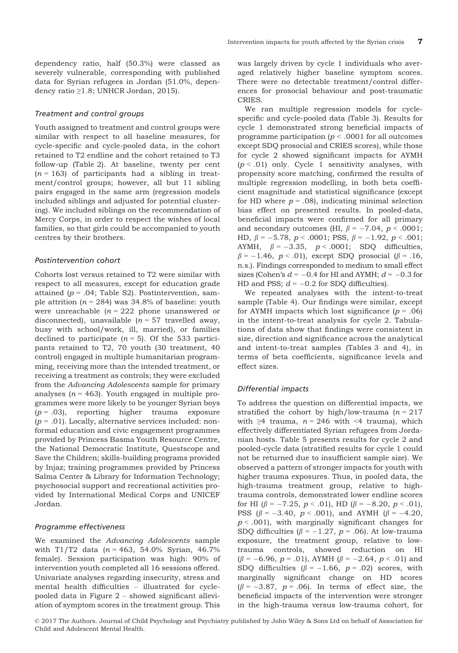dependency ratio, half (50.3%) were classed as severely vulnerable, corresponding with published data for Syrian refugees in Jordan (51.0%, dependency ratio ≥1.8; UNHCR Jordan, 2015).

## Treatment and control groups

Youth assigned to treatment and control groups were similar with respect to all baseline measures, for cycle-specific and cycle-pooled data, in the cohort retained to T2 endline and the cohort retained to T3 follow-up (Table 2). At baseline, twenty per cent  $(n = 163)$  of participants had a sibling in treatment/control groups; however, all but 11 sibling pairs engaged in the same arm (regression models included siblings and adjusted for potential clustering). We included siblings on the recommendation of Mercy Corps, in order to respect the wishes of local families, so that girls could be accompanied to youth centres by their brothers.

#### Postintervention cohort

Cohorts lost versus retained to T2 were similar with respect to all measures, except for education grade attained ( $p = .04$ ; Table S2). Postintervention, sample attrition ( $n = 284$ ) was 34.8% of baseline: youth were unreachable  $(n = 222)$  phone unanswered or disconnected), unavailable  $(n = 57$  travelled away, busy with school/work, ill, married), or families declined to participate  $(n = 5)$ . Of the 533 participants retained to T2, 70 youth (30 treatment, 40 control) engaged in multiple humanitarian programming, receiving more than the intended treatment, or receiving a treatment as controls; they were excluded from the Advancing Adolescents sample for primary analyses ( $n = 463$ ). Youth engaged in multiple programmes were more likely to be younger Syrian boys  $(p = .03)$ , reporting higher trauma exposure  $(p = .01)$ . Locally, alternative services included: nonformal education and civic engagement programmes provided by Princess Basma Youth Resource Centre, the National Democratic Institute, Questscope and Save the Children; skills-building programs provided by Injaz; training programmes provided by Princess Salma Center & Library for Information Technology; psychosocial support and recreational activities provided by International Medical Corps and UNICEF Jordan.

#### Programme effectiveness

We examined the Advancing Adolescents sample with T1/T2 data ( $n = 463$ , 54.0% Syrian, 46.7% female). Session participation was high: 90% of intervention youth completed all 16 sessions offered. Univariate analyses regarding insecurity, stress and mental health difficulties – illustrated for cyclepooled data in Figure 2 – showed significant alleviation of symptom scores in the treatment group. This

was largely driven by cycle 1 individuals who averaged relatively higher baseline symptom scores. There were no detectable treatment/control differences for prosocial behaviour and post-traumatic CRIES.

We ran multiple regression models for cyclespecific and cycle-pooled data (Table 3). Results for cycle 1 demonstrated strong beneficial impacts of programme participation ( $p < .0001$  for all outcomes except SDQ prosocial and CRIES scores), while those for cycle 2 showed significant impacts for AYMH  $(p < .01)$  only. Cycle 1 sensitivity analyses, with propensity score matching, confirmed the results of multiple regression modelling, in both beta coefficient magnitude and statistical significance (except for HD where  $p = .08$ , indicating minimal selection bias effect on presented results. In pooled-data, beneficial impacts were confirmed for all primary and secondary outcomes (HI,  $\beta = -7.04$ ,  $p < .0001$ ; HD,  $\beta = -5.78$ ,  $p < .0001$ ; PSS,  $\beta = -1.92$ ,  $p < .001$ ; AYMH,  $\beta = -3.35$ ,  $p < .0001$ ; SDQ difficulties,  $\beta = -1.46$ ,  $p < .01$ , except SDQ prosocial ( $\beta = .16$ , n.s.). Findings corresponded to medium to small effect sizes (Cohen's  $d = -0.4$  for HI and AYMH;  $d = -0.3$  for HD and PSS;  $d = -0.2$  for SDQ difficulties).

We repeated analyses with the intent-to-treat sample (Table 4). Our findings were similar, except for AYMH impacts which lost significance  $(p = .06)$ in the intent-to-treat analysis for cycle 2. Tabulations of data show that findings were consistent in size, direction and significance across the analytical and intent-to-treat samples (Tables 3 and 4), in terms of beta coefficients, significance levels and effect sizes.

#### Differential impacts

To address the question on differential impacts, we stratified the cohort by high/low-trauma ( $n = 217$ ) with  $\geq 4$  trauma,  $n = 246$  with <4 trauma), which effectively differentiated Syrian refugees from Jordanian hosts. Table 5 presents results for cycle 2 and pooled-cycle data (stratified results for cycle 1 could not be returned due to insufficient sample size). We observed a pattern of stronger impacts for youth with higher trauma exposures. Thus, in pooled data, the high-trauma treatment group, relative to hightrauma controls, demonstrated lower endline scores for HI ( $\beta$  = -7.25, p < .01), HD ( $\beta$  = -8.20, p < .01), PSS ( $\beta$  = -3.40,  $p < .001$ ), and AYMH ( $\beta$  = -4.20,  $p < .001$ ), with marginally significant changes for SDQ difficulties ( $\beta$  = -1.27, p = .06). At low-trauma exposure, the treatment group, relative to lowtrauma controls, showed reduction on HI  $(\beta = -6.96, p = .01)$ , AYMH  $(\beta = -2.64, p < .01)$  and SDQ difficulties  $(\beta = -1.66, p = .02)$  scores, with marginally significant change on HD scores  $(\beta = -3.87, p = .06)$ . In terms of effect size, the beneficial impacts of the intervention were stronger in the high-trauma versus low-trauma cohort, for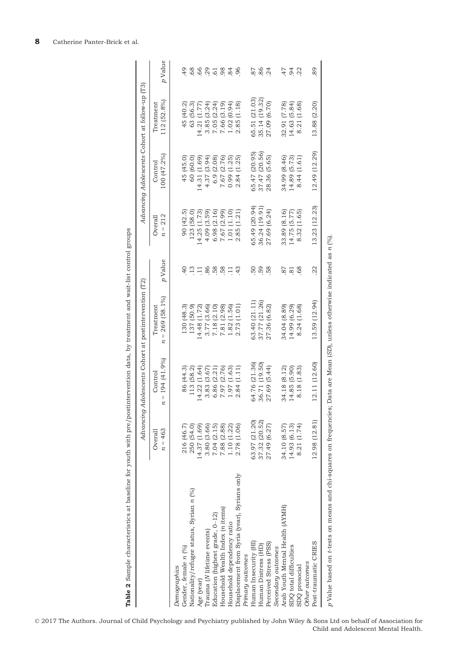|                                                                   |                      | Advancing Adolescents Cohort at postintervention (T2) |                                                           |               |                      | Advancing Adolescents Cohort at follow-up (T3) |                          |                 |
|-------------------------------------------------------------------|----------------------|-------------------------------------------------------|-----------------------------------------------------------|---------------|----------------------|------------------------------------------------|--------------------------|-----------------|
|                                                                   | $n = 463$<br>Overall | 194 (41.9%)<br>Control<br>$\mathbf{I}$<br>r           | $= 269$ (58.1%)<br>Treatment<br>n                         | p Value       | $n = 212$<br>Overall | 100 (47.2%)<br>Control                         | 112 (52.8%)<br>Treatment | p Value         |
| Demographics                                                      |                      |                                                       |                                                           |               |                      |                                                |                          |                 |
| Gender, female n (%)                                              | 216 (46.7)           | 86 (44.3)                                             | (30(48.3))                                                |               | 90 (42.5)            | 45 (45.0)                                      | 45 (40.2)                | $\frac{1}{6}$   |
| Nationality/refugee status, Syrian n (%)                          | 250 (54.0)           | 113 (58.2)                                            | 137 (50.9)                                                | 13            | 123 (58.0)           | 60 (60.0)                                      | 63 (56.3)                | 68              |
| Age (year)                                                        | 14.37 (1.69)         | 14.22 (1.64)                                          | 14.48 (1.72)                                              | $\Xi$         | 14.25 (1.73)         | 14.31 (1.69)                                   | 14.21 (1.77              | 66              |
| Trauma (N lifetime events)                                        | 3.80 (3.66)          | 3.83 (3.67)                                           | 3.77 (3.66)                                               |               | 4.09 (3.59)          | 4.37 (3.94)                                    | 3.85(3.24)               |                 |
| Education (highest grade, 0–12)                                   | 7.04(2.15)           | 6.86 (2.21)                                           | 7.18(2.10)                                                | 86<br>58      | 6.98(2.16)           | 6.9 (2.08)                                     | 7.05(2.24)               | 29000           |
| Household Wealth Index (n items)                                  | 7.88 (2.88)          | 7.97 (2.76)                                           | 7.81 (2.98)                                               | 58            | 7.67 (2.99)          | 7.67 (2.76)                                    | 7.66(3.19)               |                 |
| Household dependency ratio                                        | 1.10(1.22)           | (1.63)<br>1.97 (                                      | 1.82 (1.56)                                               | $\Xi$         | 1.01(1.10)           | 0.99(1.25)                                     | 1.02(0.94)               | 84              |
| Displacement from Syria (year), Syrians only                      | 2.78 (1.06)          | 2.84(1.11)                                            | (1.01)<br>2.73                                            | $\frac{3}{4}$ | (1.21)<br>2.85       | 2.84(1.25)                                     | (1.18)<br>2.85(          | 96              |
| Primary outcomes                                                  |                      |                                                       |                                                           |               |                      |                                                |                          |                 |
| Human Insecurity (HI)                                             | 63.97 (21.20)        | 64.76 (21.36)                                         | 63.40 (21.11)                                             | 50            | 65.49 (20.94)        | 65.47 (20.95)                                  | 65.51 (21.03)            | 78              |
| Human Distress (HD)                                               | 37.32 (20.52)        | 36.71 (19.50)                                         | 37.77 (21.26)                                             | .59           | 36.24 (19.91)        | 37.47 (20.56)                                  | 35.14 (19.32)            | 86              |
| Perceived Stress (PSS)                                            | 27.49 (6.27)         | 27.69 (5.44)                                          | 27.36 (6.82)                                              | 58            | 27.69 (6.24)         | 28.36 (5.65)                                   | 27.09 (6.70)             | $^{24}$         |
| Secondary outcomes                                                |                      |                                                       |                                                           |               |                      |                                                |                          |                 |
| Arab Youth Mental Health (AYMH)                                   | 34.10 (8.57)         | 34.18 (8.12)                                          | 34.04 (8.89)                                              | 78            | 33.89 (8.16)         | 34.99 (8.46)                                   | 32.91 (7.78)             | 47              |
| SDQ total difficulties                                            | 14.93 (6.13)         | 14.85 (5.90)                                          | 14.99 (6.29)                                              | 81            | 14.75 (5.77)         | 14.89 (5.73)                                   | 14.63 (5.84)             | $\overline{94}$ |
| SDQ prosocial                                                     | 8.21 (1.74)          | 8.18 (1.83)                                           | 8.24 (1.68)                                               | 68            | 8.32(1.65)           | 8.44 (1.61)                                    | 8.21 (1.68)              | 22              |
| Other outcomes                                                    |                      |                                                       |                                                           |               |                      |                                                |                          |                 |
| Post-traumatic CRIES                                              | 12.98 (12.81)        | 12.11 (12.60)                                         | 13.59 (12.94)                                             | 22            | 13.23 (12.23)        | 12.49 (12.29)                                  | 13.88 (2.20)             | 89              |
| p Value based on t-tests on means and chi-squares on frequencies; |                      |                                                       | Data are Mean (SD), unless otherwise indicated as $n$ (%) |               |                      |                                                |                          |                 |

Table 2 Sample characteristics at baseline for youth with pre/postintervention data, by treatment and wait-list control groups Table 2 Sample characteristics at baseline for youth with pre/postintervention data, by treatment and wait-list control groups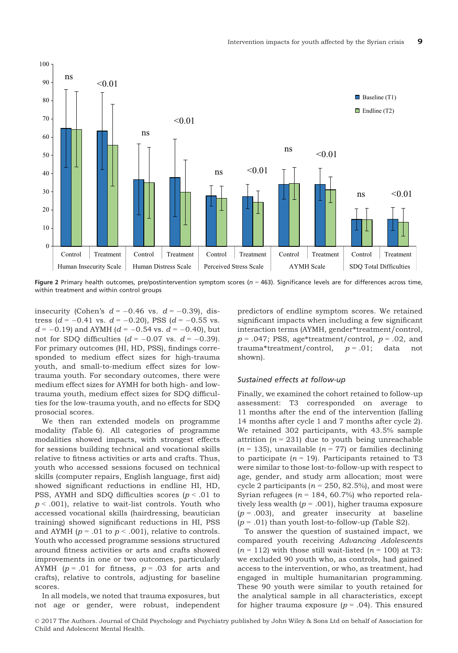

Figure 2 Primary health outcomes, pre/postintervention symptom scores ( $n = 463$ ). Significance levels are for differences across time, within treatment and within control groups

insecurity (Cohen's  $d = -0.46$  vs.  $d = -0.39$ ), distress ( $d = -0.41$  vs.  $d = -0.20$ ), PSS ( $d = -0.55$  vs.  $d = -0.19$ ) and AYMH ( $d = -0.54$  vs.  $d = -0.40$ ), but not for SDQ difficulties  $(d = -0.07 \text{ vs. } d = -0.39)$ . For primary outcomes (HI, HD, PSS), findings corresponded to medium effect sizes for high-trauma youth, and small-to-medium effect sizes for lowtrauma youth. For secondary outcomes, there were medium effect sizes for AYMH for both high- and lowtrauma youth, medium effect sizes for SDQ difficulties for the low-trauma youth, and no effects for SDQ prosocial scores.

We then ran extended models on programme modality (Table 6). All categories of programme modalities showed impacts, with strongest effects for sessions building technical and vocational skills relative to fitness activities or arts and crafts. Thus, youth who accessed sessions focused on technical skills (computer repairs, English language, first aid) showed significant reductions in endline HI, HD, PSS, AYMH and SDQ difficulties scores ( $p < .01$  to  $p < .001$ , relative to wait-list controls. Youth who accessed vocational skills (hairdressing, beautician training) showed significant reductions in HI, PSS and AYMH ( $p = .01$  to  $p < .001$ ), relative to controls. Youth who accessed programme sessions structured around fitness activities or arts and crafts showed improvements in one or two outcomes, particularly AYMH ( $p = .01$  for fitness,  $p = .03$  for arts and crafts), relative to controls, adjusting for baseline scores.

In all models, we noted that trauma exposures, but not age or gender, were robust, independent

predictors of endline symptom scores. We retained significant impacts when including a few significant interaction terms (AYMH, gender\*treatment/control,  $p = .047$ ; PSS, age\*treatment/control,  $p = .02$ , and trauma\*treatment/control,  $p = .01$ ; data not shown).

## Sustained effects at follow-up

Finally, we examined the cohort retained to follow-up assessment: T3 corresponded on average to 11 months after the end of the intervention (falling 14 months after cycle 1 and 7 months after cycle 2). We retained 302 participants, with 43.5% sample attrition ( $n = 231$ ) due to youth being unreachable  $(n = 135)$ , unavailable  $(n = 77)$  or families declining to participate  $(n = 19)$ . Participants retained to T3 were similar to those lost-to-follow-up with respect to age, gender, and study arm allocation; most were cycle 2 participants ( $n = 250, 82.5\%$ ), and most were Syrian refugees ( $n = 184, 60.7%$ ) who reported relatively less wealth ( $p = .001$ ), higher trauma exposure  $(p = .003)$ , and greater insecurity at baseline  $(p = .01)$  than youth lost-to-follow-up (Table S2).

To answer the question of sustained impact, we compared youth receiving Advancing Adolescents  $(n = 112)$  with those still wait-listed  $(n = 100)$  at T3: we excluded 90 youth who, as controls, had gained access to the intervention, or who, as treatment, had engaged in multiple humanitarian programming. These 90 youth were similar to youth retained for the analytical sample in all characteristics, except for higher trauma exposure ( $p = .04$ ). This ensured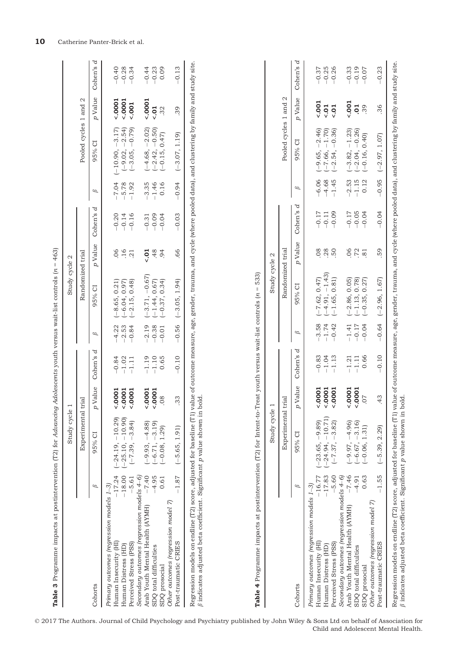|                                                     |          | Study cycle 1               |                 |                 |         | Study cycle 2           |                 |                   |         |                                      |          |           |
|-----------------------------------------------------|----------|-----------------------------|-----------------|-----------------|---------|-------------------------|-----------------|-------------------|---------|--------------------------------------|----------|-----------|
|                                                     |          | Experimental trial          |                 |                 |         | Randomized trial        |                 |                   |         | Pooled cycles 1 and 2                |          |           |
| Cohorts                                             |          | 95% CI                      | $\overline{a}$  | Value Cohen's d |         | 95% CI                  |                 | p Value Cohen's d | ≌       | 95% CI                               | p Value  | Cohen's d |
| Primary outcomes (regression models $1\text{--}3$ ) |          |                             |                 |                 |         |                         |                 |                   |         |                                      |          |           |
| Human Insecurity (HI)                               |          | $-17.24$ $(-24.19, -10.29)$ | 50001           | $-0.84$         | $-4.22$ | $(-8.65, 0.21)$         |                 | $-0.20$           | $-7.04$ | $(-10.90, -3.17)$                    | 0001     | $-0.40$   |
| Human Distress (HD)                                 | $-18.00$ | $(-25.10, -10.90)$          | 0001            | $-1.02$         | $-2.53$ | $(-6.04, 0.97)$         | 0.16            | $-0.14$           | $-5.78$ |                                      | 5000.5   | $-0.28$   |
| Perceived Stress (PSS)                              | $-5.61$  | $(-7.39, -3.84)$            | 0001            | $-1.11$         | $-0.84$ | $(-2.15, 0.48)$         | $\overline{21}$ | $-0.16$           | $-1.92$ | $(-9.02, -2.54)$<br>$(-3.05, -0.79)$ | 5001     | $-0.34$   |
| Secondary outcomes (regression models $+6$ )        |          |                             |                 |                 |         |                         |                 |                   |         |                                      |          |           |
| Arab Youth Mental Health (AYMH)                     | $-7.40$  | $(-9.93, -4.88)$            | 50001           | $-1.19$         | $-2.19$ | $(-3.71, -0.67)$        | ី់              | $-0.31$           | $-3.35$ | $(-4.68, -2.02)$                     | 0001     | $-0.44$   |
| SDQ total difficulties                              | $-4.95$  | $(-6.71, -3.19)$            | 0001            | $-1.10$         | $-0.38$ | $(-1.44, 0.67)$         | 48              | $-0.09$           | $-1.46$ | $(-2.42, -0.50)$                     | $50.5 -$ | $-0.23$   |
| SDQ prosocial                                       | 0.61     | $(-0.08, 1.29)$             | $\overline{08}$ | 0.65            | $-0.01$ | $(-0.37, 0.34)$         | $\overline{94}$ | $-0.04$           | 0.16    | $(-0.15, 0.47)$                      |          | 0.09      |
| Other outcomes (regression model $7$ )              |          |                             |                 |                 |         |                         |                 |                   |         |                                      |          |           |
| Post-traumatic CRIES                                |          | $-1.87$ $(-5.65, 1.91)$     | 33.             | $-0.10$         |         | $-0.56$ $(-3.05, 1.94)$ | 99.             | $-0.03$           | $-0.94$ | $(-3.07, 1.19)$                      | 39       | $-0.13$   |

Table 4 Programme impacts at postintervention (T2) for Intent-to-Treat youth versus wait-list controls (  $n = 533$ 

| $-3.58$<br>$-1.742$<br>$-0.42$<br>⋍<br>Cohen's d<br>$-0.83$ | Randomized trial        |                   |         |                    |                       |                                                         |                    |
|-------------------------------------------------------------|-------------------------|-------------------|---------|--------------------|-----------------------|---------------------------------------------------------|--------------------|
|                                                             |                         |                   |         |                    | Pooled cycles 1 and 2 |                                                         |                    |
|                                                             | 95% CI                  | p Value Cohen's d |         | ⋍                  | 95% CI                | p Value                                                 | Cohen's d          |
|                                                             |                         |                   |         |                    |                       |                                                         |                    |
|                                                             | $(-7.62, 0.47)$         |                   | $-0.17$ | $-6.06$            | $(-9.65, -2.46)$      |                                                         |                    |
| $-1.04$                                                     | $(-4.91, -1.43)$        | 8880              | $-0.11$ | $-4.68$<br>$-1.45$ | $(-7.66, -1.70)$      | $\frac{2}{3}$<br>$\frac{1}{3}$<br>$\frac{1}{3}$         | $-0.37$<br>$-0.26$ |
| $-1.13$                                                     | $(-1.65, 0.81)$         |                   | $-0.09$ |                    | $(-2.54, -0.36)$      |                                                         |                    |
|                                                             |                         |                   |         |                    |                       |                                                         |                    |
| $-1.21$                                                     | $(-2.86, 0.05)$         |                   | $-0.17$ |                    |                       | 5001                                                    | $-0.33$            |
| $-1.11$                                                     | $(-1.13, 0.78)$         |                   | $-0.05$ |                    |                       | $\overline{0}$ .                                        | $-0.19$            |
| $-0.04$<br>0.66                                             | $(-0.35, 0.27)$         |                   | $-0.04$ | 0.12               | $(-0.16, 0.40)$       | 39                                                      | $-0.07$            |
|                                                             |                         |                   |         |                    |                       |                                                         |                    |
| $-0.10$                                                     | $-0.64$ $(-2.96, 1.67)$ | 59                | $-0.04$ | $-0.95$            |                       | 36                                                      | $-0.23$            |
| $-1.41$<br>$-0.17$                                          |                         |                   | 0.81    |                    | $-2.53$<br>$-1.15$    | $(-3.82, -1.23)$<br>$(-2.04, -0.26)$<br>$(-2.97, 1.07)$ |                    |

Child and Adolescent Mental Health.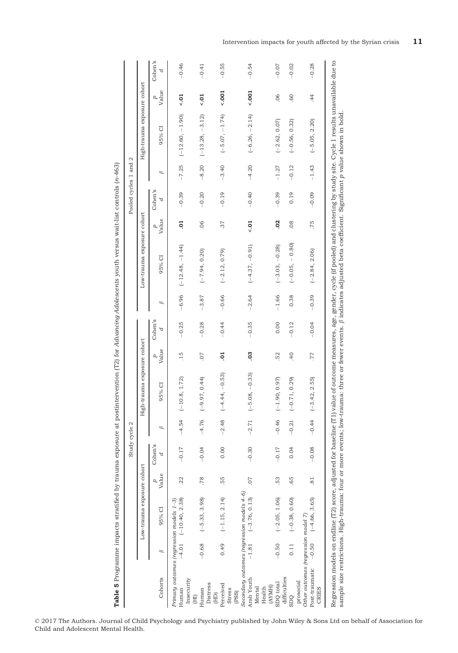Table 5 Programme impacts stratified by trauma exposure at postintervention (T2) for Advancing Adolescents youth versus wait-list controls ( **Table 5** Programme impacts stratified by trauma exposure at postintervention (T2) for Advancing Adolescents vouth versus wait-list controls (n-463)

|                                                                                                                                                                                        |         |                                                                         |                |              | Study cycle 2 |                                 |                 |              |         |                            |            | Pooled cycles 1 and 2 |         |                             |            |                                                                                                                                                                                                |
|----------------------------------------------------------------------------------------------------------------------------------------------------------------------------------------|---------|-------------------------------------------------------------------------|----------------|--------------|---------------|---------------------------------|-----------------|--------------|---------|----------------------------|------------|-----------------------|---------|-----------------------------|------------|------------------------------------------------------------------------------------------------------------------------------------------------------------------------------------------------|
|                                                                                                                                                                                        |         | Low-trauma exposure cohort                                              |                |              |               | High-trauma exposure cohort     |                 |              |         | Low-trauma exposure cohort |            |                       |         | High-trauma exposure cohort |            |                                                                                                                                                                                                |
| Cohorts                                                                                                                                                                                | $\beta$ | 95% CI                                                                  | Value<br>d     | Cohen's<br>d | $\beta$       | 95% CI                          | Value<br>đ      | Cohen's<br>ರ | $\beta$ | 95% CI                     | Value<br>p | Cohen's<br>ರ          | $\beta$ | 95% CI                      | Value<br>d | Cohen's<br>ರ                                                                                                                                                                                   |
| Human                                                                                                                                                                                  |         | $-4.01$ $(-10.40, 2.38)$<br>Primary outcomes (regression models $1-3$ ) | .22            | $-0.17$      | $-4.54$       | 10.8, 1.72)<br>Ï                | $-15$           | $-0.25$      | $-6.96$ | $(-12.48, -1.44)$          | ō          | $-0.39$               | $-7.25$ | $(-12.60, -1.90)$           | 50.5       | $-0.46$                                                                                                                                                                                        |
| Insecurity<br>Distress<br>Human<br>(HI)                                                                                                                                                | $-0.68$ | $(-5.33, 3.98)$                                                         | .78            | $-0.04$      | $-4.76$       | $(-9.97, 0.44)$                 | 70.             | $-0.28$      | $-3.87$ | $(-7.94, 0.20)$            | 06         | $-0.20$               | $-8.20$ | $(-13.28, -3.12)$           | 50.5       | $-0.41$                                                                                                                                                                                        |
| Perceived<br>Stress<br>(HD)                                                                                                                                                            | 0.49    | $(-1.15, 2.14)$                                                         | 55.            | 0.00         | $-2.48$       | $(-4.44, -0.53)$                | ō               | $-0.44$      | $-0.66$ | $(-2.12, 0.79)$            | 37         | $-0.19$               | $-3.40$ | $(-5.07, -1.74)$            | 5001       | $-0.55$                                                                                                                                                                                        |
| Arab Youth<br>Mental<br>$($ PSS $)$                                                                                                                                                    | $-1.81$ | Secondary outcomes (regression models $+6$ )<br>$(-3.76, 0.13)$         | 07             | $-0.30$      | $-2.71$       | $(-5.08, -0.33)$                | $\ddot{\circ}$  | $-0.35$      | $-2.64$ | $(-4.37, -0.91)$           | 50.5       | $-0.40$               | $-4.20$ | $(-6.26, -2.14)$            | 5001       | $-0.54$                                                                                                                                                                                        |
| SDQ total<br>(AYMH)<br>Health                                                                                                                                                          | $-0.50$ | $(-2.05, 1.06)$                                                         | .53            | $-0.17$      | $-0.46$       | .90, 0.97)<br>$\overline{\bot}$ | 52              | 0.00         | $-1.66$ | $(-3.03, -0.28)$           | So         | $-0.39$               | $-1.27$ | $(-2.62, 0.07)$             | 06         | $-0.07$                                                                                                                                                                                        |
| difficulties<br><b>SDO</b>                                                                                                                                                             | 0.11    | $(-0.38, 0.60)$                                                         | 65             | 0.04         | $-0.21$       | $(-0.71, 0.29)$                 | $\overline{40}$ | $-0.12$      | 0.38    | $(-0.05, -0.80)$           | 08         | 0.19                  | $-0.12$ | $(-0.56, 0.32)$             | <b>So</b>  | $-0.02$                                                                                                                                                                                        |
| Other outcomes (regression model 7)<br>Post-traumatic<br>prosocial<br>CRIES                                                                                                            | $-0.50$ | $(-4.66, 3.65)$                                                         | $\overline{8}$ | $-0.08$      | $-0.44$       | $(-3.42, 2.55)$                 | 77              | $-0.04$      | $-0.39$ | $(-2.84, 2.06)$            | .75        | $-0.09$               | $-1.43$ | $(-5.05, 2.20)$             | 44         | $-0.28$                                                                                                                                                                                        |
| sample size restrictions. High-trauma: four or more events; low-trauma: three or fewer events. <i>fi</i> indicates adjusted beta coefficient. Significant <i>p</i> value shown in bold |         |                                                                         |                |              |               |                                 |                 |              |         |                            |            |                       |         |                             |            | Regression models on endline (T2) score, adjusted for baseline (T1) value of outcome measures, age, gender, cycle (if pooled) and clustering by study site. Cycle 1 results unavailable due to |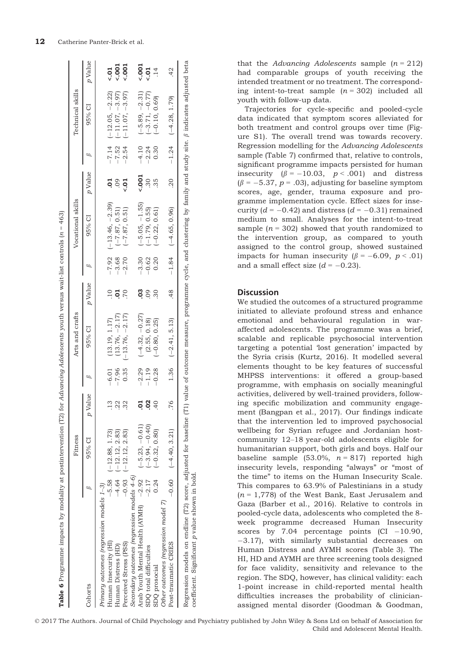|                                              |         | Fitness                  |                |         | Arts and crafts  |                |         | Vocational skills |                 |         | Technical skills  |               |
|----------------------------------------------|---------|--------------------------|----------------|---------|------------------|----------------|---------|-------------------|-----------------|---------|-------------------|---------------|
| Cohorts                                      |         | 95% CI                   | p Value        |         | 95% CI           | p Value        |         | 95% CI            | p Value         |         | 95% CI            | p Value       |
| Primary outcomes (regression models 1–3)     |         |                          |                |         |                  |                |         |                   |                 |         |                   |               |
| Human Insecurity (HI)                        |         | $-5.58$ $(-12.88, 1.73)$ | Ξ.             | $-6.01$ | (13.19, 1.17)    |                | $-7.92$ | $(-13.46, -2.39)$ |                 | $-7.14$ | $(-12.05, -2.22)$ | $\frac{1}{2}$ |
| Human Distress (HD)                          |         | $-4.64$ $(-12.12, 2.83)$ | .22            | $-7.96$ | $(13.76, -2.17)$ | ៑              | $-3.68$ | $(-7.87, 0.51)$   | 60              | $-7.52$ | $(-11.07, -3.97)$ | 5001          |
| Perceived Stress (PSS)                       |         | $-0.93$ $(-12.12, 2.83)$ | $\frac{32}{3}$ | 0.35    | $-13.76, -2.17$  | PZ.            | $-2.70$ | $(-7.87, 0.51)$   | $50 - 5$        | $-2.54$ | $[-11.07, -3.97]$ | 5001          |
| Secondary outcomes (regression models $+6$ ) |         |                          |                |         |                  |                |         |                   |                 |         |                   |               |
| Arab Youth Mental Health (AYMH) -2.92        |         | $(-5.23, -0.61)$         | ວຸ             | $-2.29$ | $(-4.32, -0.27)$ | <u>ဒ</u>       | $-3.30$ | $(-5.05, -1.55)$  | 5001            | $-4.10$ | $(-5.89, -2.31)$  | 5001          |
| SDQ total difficulties                       | $-2.17$ | $(-3.94, -0.40)$         | $\overline{c}$ | $-1.19$ | (2.55, 0.18)     | 80             | $-0.62$ | $(-1.79, 0.55)$   | $\overline{30}$ | $-2.24$ | $(-3.71, -0.77)$  | 50.5          |
| SDQ prosocial                                | 0.24    | $(-0.32, 0.80)$          | $\hat{A}$      | $-0.28$ | $(-0.80, 0.25)$  | 30             | 0.20    | $(-0.22, 0.61)$   |                 | 0.30    | $(-0.10, 0.69)$   |               |
| Other outcomes (regression model 7)          |         |                          |                |         |                  |                |         |                   |                 |         |                   |               |
| Post-traumatic CRIES                         |         | $-0.60$ $(-4.40, 3.21)$  |                | 1.36    | $(-2.41, 5.13)$  | $\frac{48}{3}$ | $-1.84$ | $(-4.65, 0.96)$   | $\overline{0}$  | $-1.24$ | $(-4.28, 1.79)$   | 42            |

that the Advancing Adolescents sample  $(n = 212)$ had comparable groups of youth receiving the intended treatment or no treatment. The corresponding intent-to-treat sample  $(n = 302)$  included all youth with follow-up data.

Trajectories for cycle-specific and pooled-cycle data indicated that symptom scores alleviated for both treatment and control groups over time (Figure S1). The overall trend was towards recovery. Regression modelling for the Advancing Adolescents sample (Table 7) confirmed that, relative to controls, significant programme impacts persisted for human insecurity  $(\beta = -10.03, p < .001)$  and distress  $(\beta = -5.37, p = .03)$ , adjusting for baseline symptom scores, age, gender, trauma exposure and programme implementation cycle. Effect sizes for insecurity ( $d = -0.42$ ) and distress ( $d = -0.31$ ) remained medium to small. Analyses for the intent-to-treat sample  $(n = 302)$  showed that youth randomized to the intervention group, as compared to youth assigned to the control group, showed sustained impacts for human insecurity  $(\beta = -6.09, p < .01)$ and a small effect size  $(d = -0.23)$ .

## **Discussion**

We studied the outcomes of a structured programme initiated to alleviate profound stress and enhance emotional and behavioural regulation in waraffected adolescents. The programme was a brief, scalable and replicable psychosocial intervention targeting a potential 'lost generation' impacted by the Syria crisis (Kurtz, 2016). It modelled several elements thought to be key features of successful MHPSS interventions: it offered a group-based programme, with emphasis on socially meaningful activities, delivered by well-trained providers, following specific mobilization and community engagement (Bangpan et al., 2017). Our findings indicate that the intervention led to improved psychosocial wellbeing for Syrian refugee and Jordanian hostcommunity 12–18 year-old adolescents eligible for humanitarian support, both girls and boys. Half our baseline sample (53.0%,  $n = 817$ ) reported high insecurity levels, responding "always" or "most of the time" to items on the Human Insecurity Scale. This compares to 63.9% of Palestinians in a study  $(n = 1,778)$  of the West Bank, East Jerusalem and Gaza (Barber et al., 2016). Relative to controls in pooled-cycle data, adolescents who completed the 8 week programme decreased Human Insecurity scores by 7.04 percentage points (CI  $-10.90$ , 3.17), with similarly substantial decreases on Human Distress and AYMH scores (Table 3). The HI, HD and AYMH are three screening tools designed for face validity, sensitivity and relevance to the region. The SDQ, however, has clinical validity: each 1-point increase in child-reported mental health difficulties increases the probability of clinicianassigned mental disorder (Goodman & Goodman,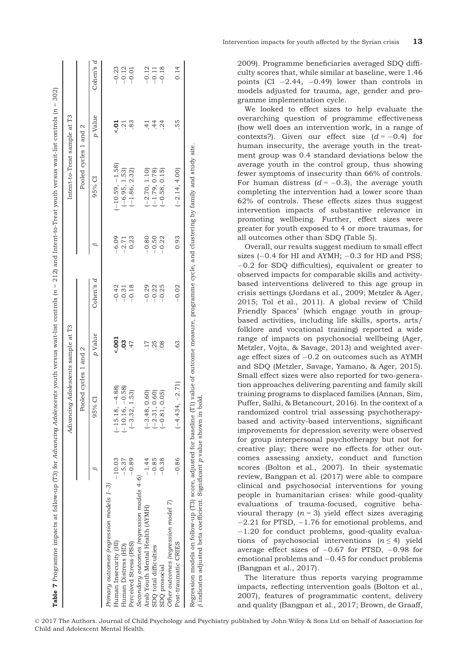|                                              |          | Advancing Adolescents sample at T3 |                 |             |            | Intent-to-Treat sample at T3 |               |             |
|----------------------------------------------|----------|------------------------------------|-----------------|-------------|------------|------------------------------|---------------|-------------|
|                                              |          | Pooled cycles 1 and 2              |                 |             |            | Pooled cycles 1 and 2        |               |             |
|                                              |          | 95% CI                             | p Value         | Cohen's $d$ | $^{\circ}$ | 95% CI                       | p Value       | Cohen's $d$ |
| Primary outcomes (regression models 1–3)     |          |                                    |                 |             |            |                              |               |             |
| Human Insecurity (HI)                        | $-10.03$ | $(-15.18, -4.88)$                  | 001             | $-0.42$     | $-6.09$    | $(-10.59, -1.58)$            | $50 - 5$      | $-0.23$     |
| Human Distress (HD)                          | $-5.37$  | $(-10.16, -0.58)$                  | $\overline{0}$  | $-0.31$     | $-2.71$    | $(-6.95, 1.53)$              | $\ddot{c}$    | $-0.12$     |
| Perceived Stress (PSS)                       | $-0.89$  | 1.53<br>$(-3.32,$                  | 47              | $-0.18$     | 0.23       | $(-1.86, 2.32)$              | 83            | $-0.01$     |
| Secondary outcomes (regression models $+6$ ) |          |                                    |                 |             |            |                              |               |             |
| Arab Youth Mental Health (AYMH)              | $-1.44$  | 0.60<br>$(-3.48,$                  | $\overline{11}$ | $-0.29$     | $-0.80$    | $-2.70, 1.10$                | $\frac{4}{1}$ | $-0.12$     |
| SDQ total difficulties                       | $-0.85$  | $(-2.31, 0.60)$                    | .25             | $-0.22$     | $-0.50$    | $-1.79, 0.78$                | $\ddot{4}$    | $-0.11$     |
| SDQ prosocial                                | $-0.38$  | $(-0.81, 0.05)$                    | $\overline{0}$  | $-0.25$     | $-0.22$    | $-0.58, 0.15$                | 24            | $-0.18$     |
| Other outcomes (regression model 7)          |          |                                    |                 |             |            |                              |               |             |
| Post-traumatic CRIES                         | $-0.86$  | $(-4.434, -2.71)$                  | 63              | $-0.02$     | 0.93       | $(-2.14, 4.00)$              | 55.           | 0.14        |

Intervention impacts for youth affected by the Syrian crisis  $13$ 

2009). Programme beneficiaries averaged SDQ difficulty scores that, while similar at baseline, were 1.46 points (CI  $-2.44$ ,  $-0.49$ ) lower than controls in models adjusted for trauma, age, gender and programme implementation cycle.

We looked to effect sizes to help evaluate the overarching question of programme effectiveness (how well does an intervention work, in a range of contexts?). Given our effect size  $(d = -0.4)$  for human insecurity, the average youth in the treatment group was 0.4 standard deviations below the average youth in the control group, thus showing fewer symptoms of insecurity than 66% of controls. For human distress  $(d = -0.3)$ , the average youth completing the intervention had a lower score than 62% of controls. These effects sizes thus suggest intervention impacts of substantive relevance in promoting wellbeing. Further, effect sizes were greater for youth exposed to 4 or more traumas, for all outcomes other than SDQ (Table 5).

Overall, our results suggest medium to small effect sizes  $(-0.4$  for HI and AYMH;  $-0.3$  for HD and PSS;  $-0.2$  for SDQ difficulties), equivalent or greater to observed impacts for comparable skills and activitybased interventions delivered to this age group in crisis settings (Jordans et al., 2009; Metzler & Ager, 2015; Tol et al., 2011). A global review of 'Child Friendly Spaces' (which engage youth in groupbased activities, including life skills, sports, arts/ folklore and vocational training) reported a wide range of impacts on psychosocial wellbeing (Ager, Metzler, Vojta, & Savage, 2013) and weighted average effect sizes of  $-0.2$  on outcomes such as AYMH and SDQ (Metzler, Savage, Yamano, & Ager, 2015). Small effect sizes were also reported for two-generation approaches delivering parenting and family skill training programs to displaced families (Annan, Sim, Puffer, Salhi, & Betancourt, 2016). In the context of a randomized control trial assessing psychotherapybased and activity-based interventions, significant improvements for depression severity were observed for group interpersonal psychotherapy but not for creative play; there were no effects for other outcomes assessing anxiety, conduct and function scores (Bolton et al., 2007). In their systematic review, Bangpan et al. (2017) were able to compare clinical and psychosocial interventions for young people in humanitarian crises: while good-quality evaluations of trauma-focused, cognitive behavioural therapy  $(n = 3)$  yield effect sizes averaging  $-2.21$  for PTSD,  $-1.76$  for emotional problems, and  $-1.20$  for conduct problems, good-quality evaluations of psychosocial interventions  $(n \leq 4)$  yield average effect sizes of  $-0.67$  for PTSD,  $-0.98$  for emotional problems and  $-0.45$  for conduct problems (Bangpan et al., 2017).

The literature thus reports varying programme impacts, reflecting intervention goals (Bolton et al., 2007), features of programmatic content, delivery and quality (Bangpan et al., 2017; Brown, de Graaff,

© 2017 The Authors. Journal of Child Psychology and Psychiatry published by John Wiley & Sons Ltd on behalf of Association for Child and Adolescent Mental Health.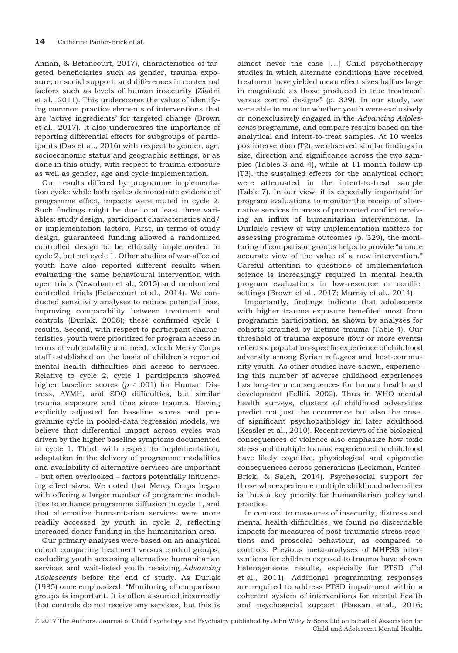Annan, & Betancourt, 2017), characteristics of targeted beneficiaries such as gender, trauma exposure, or social support, and differences in contextual factors such as levels of human insecurity (Ziadni et al., 2011). This underscores the value of identifying common practice elements of interventions that are 'active ingredients' for targeted change (Brown et al., 2017). It also underscores the importance of reporting differential effects for subgroups of participants (Das et al., 2016) with respect to gender, age, socioeconomic status and geographic settings, or as done in this study, with respect to trauma exposure as well as gender, age and cycle implementation.

Our results differed by programme implementation cycle: while both cycles demonstrate evidence of programme effect, impacts were muted in cycle 2. Such findings might be due to at least three variables: study design, participant characteristics and/ or implementation factors. First, in terms of study design, guaranteed funding allowed a randomized controlled design to be ethically implemented in cycle 2, but not cycle 1. Other studies of war-affected youth have also reported different results when evaluating the same behavioural intervention with open trials (Newnham et al., 2015) and randomized controlled trials (Betancourt et al., 2014). We conducted sensitivity analyses to reduce potential bias, improving comparability between treatment and controls (Durlak, 2008); these confirmed cycle 1 results. Second, with respect to participant characteristics, youth were prioritized for program access in terms of vulnerability and need, which Mercy Corps staff established on the basis of children's reported mental health difficulties and access to services. Relative to cycle 2, cycle 1 participants showed higher baseline scores ( $p < .001$ ) for Human Distress, AYMH, and SDQ difficulties, but similar trauma exposure and time since trauma. Having explicitly adjusted for baseline scores and programme cycle in pooled-data regression models, we believe that differential impact across cycles was driven by the higher baseline symptoms documented in cycle 1. Third, with respect to implementation, adaptation in the delivery of programme modalities and availability of alternative services are important – but often overlooked – factors potentially influencing effect sizes. We noted that Mercy Corps began with offering a larger number of programme modalities to enhance programme diffusion in cycle 1, and that alternative humanitarian services were more readily accessed by youth in cycle 2, reflecting increased donor funding in the humanitarian area.

Our primary analyses were based on an analytical cohort comparing treatment versus control groups, excluding youth accessing alternative humanitarian services and wait-listed youth receiving Advancing Adolescents before the end of study. As Durlak (1985) once emphasized: "Monitoring of comparison groups is important. It is often assumed incorrectly that controls do not receive any services, but this is

almost never the case [...] Child psychotherapy studies in which alternate conditions have received treatment have yielded mean effect sizes half as large in magnitude as those produced in true treatment versus control designs" (p. 329). In our study, we were able to monitor whether youth were exclusively or nonexclusively engaged in the Advancing Adolescents programme, and compare results based on the analytical and intent-to-treat samples. At 10 weeks postintervention (T2), we observed similar findings in size, direction and significance across the two samples (Tables 3 and 4), while at 11-month follow-up (T3), the sustained effects for the analytical cohort were attenuated in the intent-to-treat sample (Table 7). In our view, it is especially important for program evaluations to monitor the receipt of alternative services in areas of protracted conflict receiving an influx of humanitarian interventions. In Durlak's review of why implementation matters for assessing programme outcomes (p. 329), the monitoring of comparison groups helps to provide "a more accurate view of the value of a new intervention." Careful attention to questions of implementation science is increasingly required in mental health program evaluations in low-resource or conflict settings (Brown et al., 2017; Murray et al., 2014).

Importantly, findings indicate that adolescents with higher trauma exposure benefited most from programme participation, as shown by analyses for cohorts stratified by lifetime trauma (Table 4). Our threshold of trauma exposure (four or more events) reflects a population-specific experience of childhood adversity among Syrian refugees and host-community youth. As other studies have shown, experiencing this number of adverse childhood experiences has long-term consequences for human health and development (Felliti, 2002). Thus in WHO mental health surveys, clusters of childhood adversities predict not just the occurrence but also the onset of significant psychopathology in later adulthood (Kessler et al., 2010). Recent reviews of the biological consequences of violence also emphasize how toxic stress and multiple trauma experienced in childhood have likely cognitive, physiological and epigenetic consequences across generations (Leckman, Panter-Brick, & Saleh, 2014). Psychosocial support for those who experience multiple childhood adversities is thus a key priority for humanitarian policy and practice.

In contrast to measures of insecurity, distress and mental health difficulties, we found no discernable impacts for measures of post-traumatic stress reactions and prosocial behaviour, as compared to controls. Previous meta-analyses of MHPSS interventions for children exposed to trauma have shown heterogeneous results, especially for PTSD (Tol et al., 2011). Additional programming responses are required to address PTSD impairment within a coherent system of interventions for mental health and psychosocial support (Hassan et al., 2016;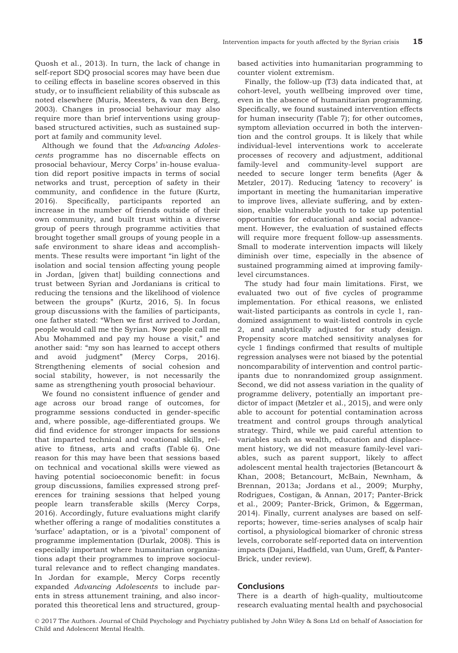Quosh et al., 2013). In turn, the lack of change in self-report SDQ prosocial scores may have been due to ceiling effects in baseline scores observed in this study, or to insufficient reliability of this subscale as noted elsewhere (Muris, Meesters, & van den Berg, 2003). Changes in prosocial behaviour may also require more than brief interventions using groupbased structured activities, such as sustained support at family and community level.

Although we found that the Advancing Adolescents programme has no discernable effects on prosocial behaviour, Mercy Corps' in-house evaluation did report positive impacts in terms of social networks and trust, perception of safety in their community, and confidence in the future (Kurtz, 2016). Specifically, participants reported an increase in the number of friends outside of their own community, and built trust within a diverse group of peers through programme activities that brought together small groups of young people in a safe environment to share ideas and accomplishments. These results were important "in light of the isolation and social tension affecting young people in Jordan, [given that] building connections and trust between Syrian and Jordanians is critical to reducing the tensions and the likelihood of violence between the groups" (Kurtz, 2016, 5). In focus group discussions with the families of participants, one father stated: "When we first arrived to Jordan, people would call me the Syrian. Now people call me Abu Mohammed and pay my house a visit," and another said: "my son has learned to accept others and avoid judgment" (Mercy Corps, 2016). Strengthening elements of social cohesion and social stability, however, is not necessarily the same as strengthening youth prosocial behaviour.

We found no consistent influence of gender and age across our broad range of outcomes, for programme sessions conducted in gender-specific and, where possible, age-differentiated groups. We did find evidence for stronger impacts for sessions that imparted technical and vocational skills, relative to fitness, arts and crafts (Table 6). One reason for this may have been that sessions based on technical and vocational skills were viewed as having potential socioeconomic benefit: in focus group discussions, families expressed strong preferences for training sessions that helped young people learn transferable skills (Mercy Corps, 2016). Accordingly, future evaluations might clarify whether offering a range of modalities constitutes a 'surface' adaptation, or is a 'pivotal' component of programme implementation (Durlak, 2008). This is especially important where humanitarian organizations adapt their programmes to improve sociocultural relevance and to reflect changing mandates. In Jordan for example, Mercy Corps recently expanded Advancing Adolescents to include parents in stress attunement training, and also incorporated this theoretical lens and structured, groupbased activities into humanitarian programming to counter violent extremism.

Finally, the follow-up (T3) data indicated that, at cohort-level, youth wellbeing improved over time, even in the absence of humanitarian programming. Specifically, we found sustained intervention effects for human insecurity (Table 7); for other outcomes, symptom alleviation occurred in both the intervention and the control groups. It is likely that while individual-level interventions work to accelerate processes of recovery and adjustment, additional family-level and community-level support are needed to secure longer term benefits (Ager & Metzler, 2017). Reducing 'latency to recovery' is important in meeting the humanitarian imperative to improve lives, alleviate suffering, and by extension, enable vulnerable youth to take up potential opportunities for educational and social advancement. However, the evaluation of sustained effects will require more frequent follow-up assessments. Small to moderate intervention impacts will likely diminish over time, especially in the absence of sustained programming aimed at improving familylevel circumstances.

The study had four main limitations. First, we evaluated two out of five cycles of programme implementation. For ethical reasons, we enlisted wait-listed participants as controls in cycle 1, randomized assignment to wait-listed controls in cycle 2, and analytically adjusted for study design. Propensity score matched sensitivity analyses for cycle 1 findings confirmed that results of multiple regression analyses were not biased by the potential noncomparability of intervention and control participants due to nonrandomized group assignment. Second, we did not assess variation in the quality of programme delivery, potentially an important predictor of impact (Metzler et al., 2015), and were only able to account for potential contamination across treatment and control groups through analytical strategy. Third, while we paid careful attention to variables such as wealth, education and displacement history, we did not measure family-level variables, such as parent support, likely to affect adolescent mental health trajectories (Betancourt & Khan, 2008; Betancourt, McBain, Newnham, & Brennan, 2013a; Jordans et al., 2009; Murphy, Rodrigues, Costigan, & Annan, 2017; Panter-Brick et al., 2009; Panter-Brick, Grimon, & Eggerman, 2014). Finally, current analyses are based on selfreports; however, time-series analyses of scalp hair cortisol, a physiological biomarker of chronic stress levels, corroborate self-reported data on intervention impacts (Dajani, Hadfield, van Uum, Greff, & Panter-Brick, under review).

#### Conclusions

There is a dearth of high-quality, multioutcome research evaluating mental health and psychosocial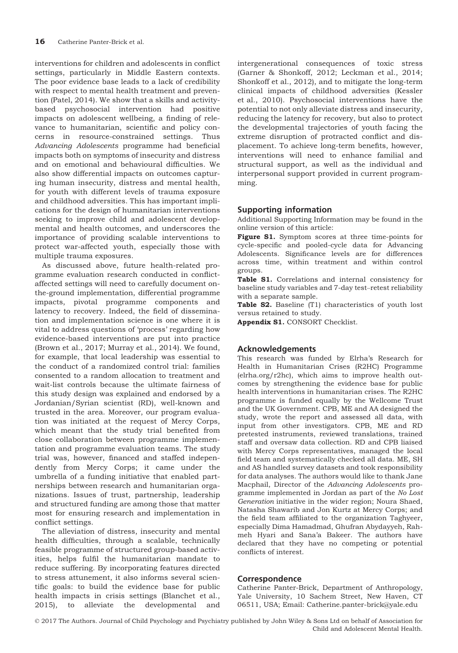interventions for children and adolescents in conflict settings, particularly in Middle Eastern contexts. The poor evidence base leads to a lack of credibility with respect to mental health treatment and prevention (Patel, 2014). We show that a skills and activitybased psychosocial intervention had positive impacts on adolescent wellbeing, a finding of relevance to humanitarian, scientific and policy concerns in resource-constrained settings. Thus Advancing Adolescents programme had beneficial impacts both on symptoms of insecurity and distress and on emotional and behavioural difficulties. We also show differential impacts on outcomes capturing human insecurity, distress and mental health, for youth with different levels of trauma exposure and childhood adversities. This has important implications for the design of humanitarian interventions seeking to improve child and adolescent developmental and health outcomes, and underscores the importance of providing scalable interventions to protect war-affected youth, especially those with multiple trauma exposures.

As discussed above, future health-related programme evaluation research conducted in conflictaffected settings will need to carefully document onthe-ground implementation, differential programme impacts, pivotal programme components and latency to recovery. Indeed, the field of dissemination and implementation science is one where it is vital to address questions of 'process' regarding how evidence-based interventions are put into practice (Brown et al., 2017; Murray et al., 2014). We found, for example, that local leadership was essential to the conduct of a randomized control trial: families consented to a random allocation to treatment and wait-list controls because the ultimate fairness of this study design was explained and endorsed by a Jordanian/Syrian scientist (RD), well-known and trusted in the area. Moreover, our program evaluation was initiated at the request of Mercy Corps, which meant that the study trial benefited from close collaboration between programme implementation and programme evaluation teams. The study trial was, however, financed and staffed independently from Mercy Corps; it came under the umbrella of a funding initiative that enabled partnerships between research and humanitarian organizations. Issues of trust, partnership, leadership and structured funding are among those that matter most for ensuring research and implementation in conflict settings.

The alleviation of distress, insecurity and mental health difficulties, through a scalable, technically feasible programme of structured group-based activities, helps fulfil the humanitarian mandate to reduce suffering. By incorporating features directed to stress attunement, it also informs several scientific goals: to build the evidence base for public health impacts in crisis settings (Blanchet et al., 2015), to alleviate the developmental and

intergenerational consequences of toxic stress (Garner & Shonkoff, 2012; Leckman et al., 2014; Shonkoff et al., 2012), and to mitigate the long-term clinical impacts of childhood adversities (Kessler et al., 2010). Psychosocial interventions have the potential to not only alleviate distress and insecurity, reducing the latency for recovery, but also to protect the developmental trajectories of youth facing the extreme disruption of protracted conflict and displacement. To achieve long-term benefits, however, interventions will need to enhance familial and structural support, as well as the individual and interpersonal support provided in current programming.

## Supporting information

Additional Supporting Information may be found in the online version of this article:

Figure S1. Symptom scores at three time-points for cycle-specific and pooled-cycle data for Advancing Adolescents. Significance levels are for differences across time, within treatment and within control groups.

Table S1. Correlations and internal consistency for baseline study variables and 7-day test–retest reliability with a separate sample.

Table S2. Baseline (T1) characteristics of youth lost versus retained to study.

Appendix S1. CONSORT Checklist.

## Acknowledgements

This research was funded by Elrha's Research for Health in Humanitarian Crises (R2HC) Programme (elrha.org/r2hc), which aims to improve health outcomes by strengthening the evidence base for public health interventions in humanitarian crises. The R2HC programme is funded equally by the Wellcome Trust and the UK Government. CPB, ME and AA designed the study, wrote the report and assessed all data, with input from other investigators. CPB, ME and RD pretested instruments, reviewed translations, trained staff and oversaw data collection. RD and CPB liaised with Mercy Corps representatives, managed the local field team and systematically checked all data. ME, SH and AS handled survey datasets and took responsibility for data analyses. The authors would like to thank Jane Macphail, Director of the Advancing Adolescents programme implemented in Jordan as part of the No Lost Generation initiative in the wider region; Noura Shaed, Natasha Shawarib and Jon Kurtz at Mercy Corps; and the field team affiliated to the organization Taghyeer, especially Dima Hamadmad, Ghufran Abydayyeh, Rahmeh Hyari and Sana'a Bakeer. The authors have declared that they have no competing or potential conflicts of interest.

## Correspondence

Catherine Panter-Brick, Department of Anthropology, Yale University, 10 Sachem Street, New Haven, CT 06511, USA; Email: Catherine.panter-brick@yale.edu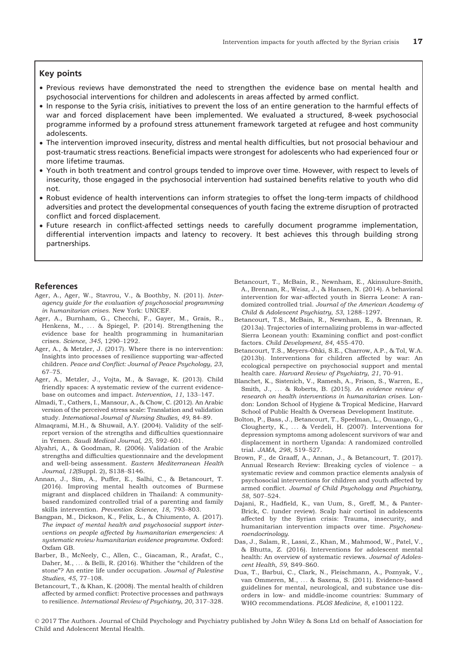## Key points

- Previous reviews have demonstrated the need to strengthen the evidence base on mental health and psychosocial interventions for children and adolescents in areas affected by armed conflict.
- In response to the Syria crisis, initiatives to prevent the loss of an entire generation to the harmful effects of war and forced displacement have been implemented. We evaluated a structured, 8-week psychosocial programme informed by a profound stress attunement framework targeted at refugee and host community adolescents.
- The intervention improved insecurity, distress and mental health difficulties, but not prosocial behaviour and post-traumatic stress reactions. Beneficial impacts were strongest for adolescents who had experienced four or more lifetime traumas.
- Youth in both treatment and control groups tended to improve over time. However, with respect to levels of insecurity, those engaged in the psychosocial intervention had sustained benefits relative to youth who did not.
- Robust evidence of health interventions can inform strategies to offset the long-term impacts of childhood adversities and protect the developmental consequences of youth facing the extreme disruption of protracted conflict and forced displacement.
- Future research in conflict-affected settings needs to carefully document programme implementation, differential intervention impacts and latency to recovery. It best achieves this through building strong partnerships.

#### References

- Ager, A., Ager, W., Stavrou, V., & Boothby, N. (2011). Interagency guide for the evaluation of psychosocial programming in humanitarian crises. New York: UNICEF.
- Ager, A., Burnham, G., Checchi, F., Gayer, M., Grais, R., Henkens, M., ... & Spiegel, P. (2014). Strengthening the evidence base for health programming in humanitarian crises. Science, 345, 1290–1292.
- Ager, A., & Metzler, J. (2017). Where there is no intervention: Insights into processes of resilience supporting war-affected children. Peace and Conflict: Journal of Peace Psychology, 23, 67–75.
- Ager, A., Metzler, J., Vojta, M., & Savage, K. (2013). Child friendly spaces: A systematic review of the current evidencebase on outcomes and impact. Intervention, 11, 133–147.
- Almadi, T., Cathers, I., Mansour, A., & Chow, C. (2012). An Arabic version of the perceived stress scale: Translation and validation study. International Journal of Nursing Studies, 49, 84–89.
- Almaqrami, M.H., & Shuwail, A.Y. (2004). Validity of the selfreport version of the strengths and difficulties questionnaire in Yemen. Saudi Medical Journal, 25, 592–601.
- Alyahri, A., & Goodman, R. (2006). Validation of the Arabic strengths and difficulties questionnaire and the development and well-being assessment. Eastern Mediterranean Health Journal, 12(Suppl. 2), S138–S146.
- Annan, J., Sim, A., Puffer, E., Salhi, C., & Betancourt, T. (2016). Improving mental health outcomes of Burmese migrant and displaced children in Thailand: A communitybased randomized controlled trial of a parenting and family skills intervention. Prevention Science, 18, 793–803.
- Bangpan, M., Dickson, K., Felix, L., & Chiumento, A. (2017). The impact of mental health and psychosocial support interventions on people affected by humanitarian emergencies: A systematic review humanitarian evidence programme. Oxford: Oxfam GB.
- Barber, B., McNeely, C., Allen, C., Giacaman, R., Arafat, C., Daher, M., ... & Belli, R. (2016). Whither the "children of the stone"? An entire life under occupation. Journal of Palestine Studies, 45, 77–108.
- Betancourt, T., & Khan, K. (2008). The mental health of children affected by armed conflict: Protective processes and pathways to resilience. International Review of Psychiatry, 20, 317–328.
- Betancourt, T., McBain, R., Newnham, E., Akinsulure-Smith, A., Brennan, R., Weisz, J., & Hansen, N. (2014). A behavioral intervention for war-affected youth in Sierra Leone: A randomized controlled trial. Journal of the American Academy of Child & Adolescent Psychiatry, 53, 1288–1297.
- Betancourt, T.S., McBain, R., Newnham, E., & Brennan, R. (2013a). Trajectories of internalizing problems in war-affected Sierra Leonean youth: Examining conflict and post-conflict factors. Child Development, 84, 455–470.
- Betancourt, T.S., Meyers-Ohki, S.E., Charrow, A.P., & Tol, W.A. (2013b). Interventions for children affected by war: An ecological perspective on psychosocial support and mental health care. Harvard Review of Psychiatry, 21, 70–91.
- Blanchet, K., Sistenich, V., Ramesh, A., Frison, S., Warren, E., Smith, J., ... & Roberts, B. (2015). An evidence review of research on health interventions in humanitarian crises. London: London School of Hygiene & Tropical Medicine, Harvard School of Public Health & Overseas Development Institute.
- Bolton, P., Bass, J., Betancourt, T., Speelman, L., Onuango, G., Clougherty, K., ... & Verdeli, H. (2007). Interventions for depression symptoms among adolescent survivors of war and displacement in northern Uganda: A randomized controlled trial. JAMA, 298, 519–527.
- Brown, F., de Graaff, A., Annan, J., & Betancourt, T. (2017). Annual Research Review: Breaking cycles of violence – a systematic review and common practice elements analysis of psychosocial interventions for children and youth affected by armed conflict. Journal of Child Psychology and Psychiatry, 58, 507–524.
- Dajani, R., Hadfield, K., van Uum, S., Greff, M., & Panter-Brick, C. (under review). Scalp hair cortisol in adolescents affected by the Syrian crisis: Trauma, insecurity, and humanitarian intervention impacts over time. Psychoneuroendocrinology.
- Das, J., Salam, R., Lassi, Z., Khan, M., Mahmood, W., Patel, V., & Bhutta, Z. (2016). Interventions for adolescent mental health: An overview of systematic reviews. Journal of Adolescent Health, 59, S49–S60.
- Dua, T., Barbui, C., Clark, N., Fleischmann, A., Poznyak, V., van Ommeren, M., ... & Saxena, S. (2011). Evidence-based guidelines for mental, neurological, and substance use disorders in low- and middle-income countries: Summary of WHO recommendations. PLOS Medicine, 8, e1001122.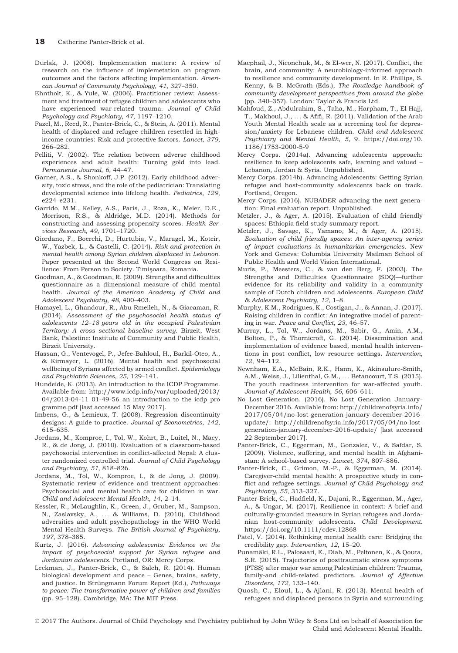- Durlak, J. (2008). Implementation matters: A review of research on the influence of implemetation on program outcomes and the factors affecting implementation. American Journal of Community Psychology, 41, 327–350.
- Ehntholt, K., & Yule, W. (2006). Practitioner review: Assessment and treatment of refugee children and adolescents who have experienced war-related trauma. Journal of Child Psychology and Psychiatry, 47, 1197–1210.
- Fazel, M., Reed, R., Panter-Brick, C., & Stein, A. (2011). Mental health of displaced and refugee children resettled in highincome countries: Risk and protective factors. Lancet, 379, 266–282.
- Felliti, V. (2002). The relation between adverse childhood experiences and adult health: Turning gold into lead. Permanente Journal, 6, 44–47.
- Garner, A.S., & Shonkoff, J.P. (2012). Early childhood adversity, toxic stress, and the role of the pediatrician: Translating developmental science into lifelong health. Pediatrics, 129, e224–e231.
- Garrido, M.M., Kelley, A.S., Paris, J., Roza, K., Meier, D.E., Morrison, R.S., & Aldridge, M.D. (2014). Methods for constructing and assessing propensity scores. Health Services Research, 49, 1701–1720.
- Giordano, F., Boerchi, D., Hurtubia, V., Maragel, M., Koteir, W., Yazbek, L., & Castelli, C. (2014). Risk and protection in mental health among Syrian children displaced in Lebanon. Paper presented at the Second World Congress on Resilience: From Person to Society. Timisoara, Romania.
- Goodman, A., & Goodman, R. (2009). Strengths and difficulties questionnaire as a dimensional measure of child mental health. Journal of the American Academy of Child and Adolescent Psychiatry, 48, 400–403.
- Hamayel, L., Ghandour, R., Abu Rmeileh, N., & Giacaman, R. (2014). Assessment of the psychosocial health status of adolescents 12–18 years old in the occupied Palestinian Territory: A cross sectional baseline survey. Birzeit, West Bank, Palestine: Institute of Community and Public Health, Birzeit University.
- Hassan, G., Ventevogel, P., Jefee-Bahloul, H., Barkil-Oteo, A., & Kirmayer, L. (2016). Mental health and psychosocial wellbeing of Syrians affected by armed conflict. Epidemiology and Psychiatric Sciences, 25, 129–141.
- Hundeide, K. (2013). An introduction to the ICDP Programme. Available from: [http://www.icdp.info/var/uploaded/2013/](http://www.icdp.info/var/uploaded/2013/04/2013-04-11_01-49-56_an_introduction_to_the_icdp_programme.pdf) [04/2013-04-11\\_01-49-56\\_an\\_introduction\\_to\\_the\\_icdp\\_pro](http://www.icdp.info/var/uploaded/2013/04/2013-04-11_01-49-56_an_introduction_to_the_icdp_programme.pdf) [gramme.pdf](http://www.icdp.info/var/uploaded/2013/04/2013-04-11_01-49-56_an_introduction_to_the_icdp_programme.pdf) [last accessed 15 May 2017].
- Imbens, G., & Lemieux, T. (2008). Regression discontinuity designs: A guide to practice. Journal of Econometrics, 142, 615–635.
- Jordans, M., Komproe, I., Tol, W., Kohrt, B., Luitel, N., Macy, R., & de Jong, J. (2010). Evaluation of a classroom-based psychosocial intervention in conflict-affected Nepal: A cluster randomized controlled trial. Journal of Child Psychology and Psychiatry, 51, 818–826.
- Jordans, M., Tol, W., Komproe, I., & de Jong, J. (2009). Systematic review of evidence and treatment approaches: Psychosocial and mental health care for children in war. Child and Adolescent Mental Health, 14, 2–14.
- Kessler, R., McLaughlin, K., Green, J., Gruber, M., Sampson, N., Zaslavsky, A., ... & Williams, D. (2010). Childhood adversities and adult psychopathology in the WHO World Mental Health Surveys. The British Journal of Psychiatry, 197, 378–385.
- Kurtz, J. (2016). Advancing adolescents: Evidence on the impact of psychosocial support for Syrian refugee and Jordanian adolescents. Portland, OR: Mercy Corps.
- Leckman, J., Panter-Brick, C., & Saleh, R. (2014). Human biological development and peace – Genes, brains, safety, and justice. In Strüngmann Forum Report (Ed.), Pathways to peace: The transformative power of children and families (pp. 95–128). Cambridge, MA: The MIT Press.
- Macphail, J., Niconchuk, M., & El-wer, N. (2017). Conflict, the brain, and community: A neurobiology-informed approach to resilience and community development. In R. Phillips, S. Kenny, & B. McGrath (Eds.), The Routledge handbook of community development perspectives from around the globe (pp. 340–357). London: Taylor & Francis Ltd.
- Mahfoud, Z., Abdulrahim, S., Taha, M., Harpham, T., El Hajj, T., Makhoul, J., ... & Afifi, R. (2011). Validation of the Arab Youth Mental Health scale as a screening tool for depression/anxiety for Lebanese children. Child and Adolescent Psychiatry and Mental Health, 5, 9. [https://doi.org/10.](https://doi.org/10.1186/1753-2000-5-9) [1186/1753-2000-5-9](https://doi.org/10.1186/1753-2000-5-9)
- Mercy Corps. (2014a). Advancing adolescents approach: resilience to keep adolescents safe, learning and valued – Lebanon, Jordan & Syria. Unpublished.
- Mercy Corps. (2014b). Advancing Adolescents: Getting Syrian refugee and host-community adolescents back on track. Portland, Oregon.
- Mercy Corps. (2016). NUBADER advancing the next generation: Final evaluation report. Unpublished.
- Metzler, J., & Ager, A. (2015). Evaluation of child friendly spaces: Ethiopia field study summary report.
- Metzler, J., Savage, K., Yamano, M., & Ager, A. (2015). Evaluation of child friendly spaces: An inter-agency series of impact evaluations in humanitarian emergencies. New York and Geneva: Columbia University Mailman School of Public Health and World Vision International.
- Muris, P., Meesters, C., & van den Berg, F. (2003). The Strengths and Difficulties Questionnaire (SDQ)—further evidence for its reliability and validity in a community sample of Dutch children and adolescents. European Child & Adolescent Psychiatry, 12, 1–8.
- Murphy, K.M., Rodrigues, K., Costigan, J., & Annan, J. (2017). Raising children in conflict: An integrative model of parenting in war. Peace and Conflict, 23, 46–57.
- Murray, L., Tol, W., Jordans, M., Sabir, G., Amin, A.M., Bolton, P., & Thornicroft, G. (2014). Dissemination and implementation of evidence based, mental health interventions in post conflict, low resource settings. Intervention, 12, 94–112.
- Newnham, E.A., McBain, R.K., Hann, K., Akinsulure-Smith, A.M., Weisz, J., Lilienthal, G.M., ... Betancourt, T.S. (2015). The youth readiness intervention for war-affected youth. Journal of Adolescent Health, 56, 606–611.
- No Lost Generation. (2016). No Lost Generation January– December 2016. Available from: [http://childrenofsyria.info/](http://childrenofsyria.info/2017/05/04/no-lost-generation-january-december-2016-update/) [2017/05/04/no-lost-generation-january-december-2016](http://childrenofsyria.info/2017/05/04/no-lost-generation-january-december-2016-update/) [update/: http://childrenofsyria.info/2017/05/04/no-lost](http://childrenofsyria.info/2017/05/04/no-lost-generation-january-december-2016-update/)[generation-january-december-2016-update/](http://childrenofsyria.info/2017/05/04/no-lost-generation-january-december-2016-update/) [last accessed 22 September 2017].
- Panter-Brick, C., Eggerman, M., Gonzalez, V., & Safdar, S. (2009). Violence, suffering, and mental health in Afghanistan: A school-based survey. Lancet, 374, 807–886.
- Panter-Brick, C., Grimon, M.-P., & Eggerman, M. (2014). Caregiver-child mental health: A prospective study in conflict and refugee settings. Journal of Child Psychology and Psychiatry, 55, 313–327.
- Panter-Brick, C., Hadfield, K., Dajani, R., Eggerman, M., Ager, A., & Ungar, M. (2017). Resilience in context: A brief and culturally-grounded measure in Syrian refugees and Jordanian host-community adolescents. Child Development. <https://doi.org/10.1111/cdev.12868>
- Patel, V. (2014). Rethinking mental health care: Bridging the credibility gap. Intervention, 12, 15–20.
- Punamäki, R.L., Palosaari, E., Diab, M., Peltonen, K., & Qouta, S.R. (2015). Trajectories of posttraumatic stress symptoms (PTSS) after major war among Palestinian children: Trauma, family-and child-related predictors. Journal of Affective Disorders, 172, 133–140.
- Quosh, C., Eloul, L., & Ajlani, R. (2013). Mental health of refugees and displaced persons in Syria and surrounding

<sup>©</sup> 2017 The Authors. Journal of Child Psychology and Psychiatry published by John Wiley & Sons Ltd on behalf of Association for Child and Adolescent Mental Health.